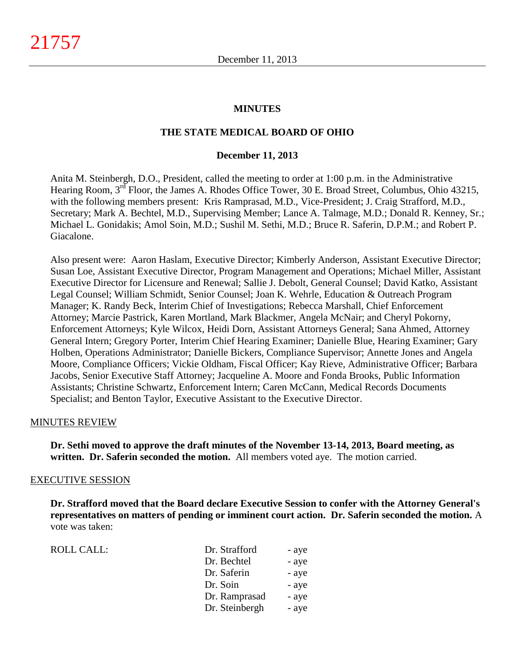#### **MINUTES**

#### **THE STATE MEDICAL BOARD OF OHIO**

#### **December 11, 2013**

Anita M. Steinbergh, D.O., President, called the meeting to order at 1:00 p.m. in the Administrative Hearing Room, 3<sup>rd</sup> Floor, the James A. Rhodes Office Tower, 30 E. Broad Street, Columbus, Ohio 43215, with the following members present: Kris Ramprasad, M.D., Vice-President; J. Craig Strafford, M.D., Secretary; Mark A. Bechtel, M.D., Supervising Member; Lance A. Talmage, M.D.; Donald R. Kenney, Sr.; Michael L. Gonidakis; Amol Soin, M.D.; Sushil M. Sethi, M.D.; Bruce R. Saferin, D.P.M.; and Robert P. Giacalone.

Also present were: Aaron Haslam, Executive Director; Kimberly Anderson, Assistant Executive Director; Susan Loe, Assistant Executive Director, Program Management and Operations; Michael Miller, Assistant Executive Director for Licensure and Renewal; Sallie J. Debolt, General Counsel; David Katko, Assistant Legal Counsel; William Schmidt, Senior Counsel; Joan K. Wehrle, Education & Outreach Program Manager; K. Randy Beck, Interim Chief of Investigations; Rebecca Marshall, Chief Enforcement Attorney; Marcie Pastrick, Karen Mortland, Mark Blackmer, Angela McNair; and Cheryl Pokorny, Enforcement Attorneys; Kyle Wilcox, Heidi Dorn, Assistant Attorneys General; Sana Ahmed, Attorney General Intern; Gregory Porter, Interim Chief Hearing Examiner; Danielle Blue, Hearing Examiner; Gary Holben, Operations Administrator; Danielle Bickers, Compliance Supervisor; Annette Jones and Angela Moore, Compliance Officers; Vickie Oldham, Fiscal Officer; Kay Rieve, Administrative Officer; Barbara Jacobs, Senior Executive Staff Attorney; Jacqueline A. Moore and Fonda Brooks, Public Information Assistants; Christine Schwartz, Enforcement Intern; Caren McCann, Medical Records Documents Specialist; and Benton Taylor, Executive Assistant to the Executive Director.

#### MINUTES REVIEW

**Dr. Sethi moved to approve the draft minutes of the November 13-14, 2013, Board meeting, as written. Dr. Saferin seconded the motion.** All members voted aye. The motion carried.

#### EXECUTIVE SESSION

**Dr. Strafford moved that the Board declare Executive Session to confer with the Attorney General's representatives on matters of pending or imminent court action. Dr. Saferin seconded the motion.** A vote was taken:

| ROLL CALL: | Dr. Strafford  | - aye |
|------------|----------------|-------|
|            | Dr. Bechtel    | - aye |
|            | Dr. Saferin    | - aye |
|            | Dr. Soin       | - aye |
|            | Dr. Ramprasad  | - aye |
|            | Dr. Steinbergh | - aye |
|            |                |       |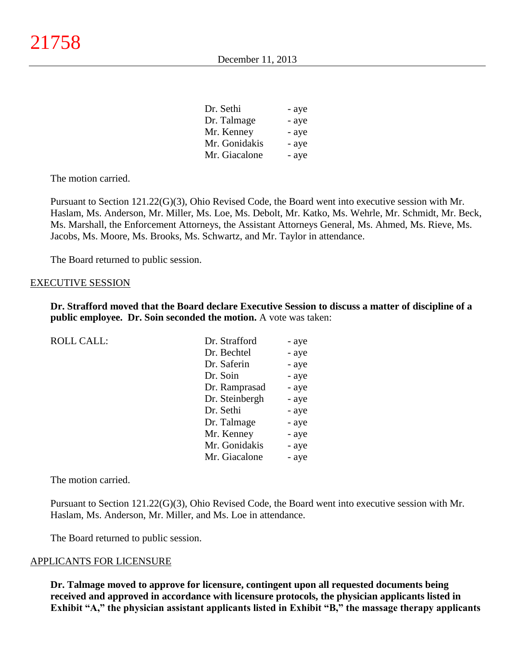| Dr. Sethi     | - aye |
|---------------|-------|
| Dr. Talmage   | - aye |
| Mr. Kenney    | - aye |
| Mr. Gonidakis | - aye |
| Mr. Giacalone | - aye |

The motion carried.

Pursuant to Section 121.22(G)(3), Ohio Revised Code, the Board went into executive session with Mr. Haslam, Ms. Anderson, Mr. Miller, Ms. Loe, Ms. Debolt, Mr. Katko, Ms. Wehrle, Mr. Schmidt, Mr. Beck, Ms. Marshall, the Enforcement Attorneys, the Assistant Attorneys General, Ms. Ahmed, Ms. Rieve, Ms. Jacobs, Ms. Moore, Ms. Brooks, Ms. Schwartz, and Mr. Taylor in attendance.

The Board returned to public session.

#### EXECUTIVE SESSION

**Dr. Strafford moved that the Board declare Executive Session to discuss a matter of discipline of a public employee. Dr. Soin seconded the motion.** A vote was taken:

| <b>ROLL CALL:</b> | Dr. Strafford  | - aye |
|-------------------|----------------|-------|
|                   | Dr. Bechtel    | - aye |
|                   | Dr. Saferin    | - aye |
|                   | Dr. Soin       | - aye |
|                   | Dr. Ramprasad  | - aye |
|                   | Dr. Steinbergh | - aye |
|                   | Dr. Sethi      | - aye |
|                   | Dr. Talmage    | - aye |
|                   | Mr. Kenney     | - aye |
|                   | Mr. Gonidakis  | - aye |
|                   | Mr. Giacalone  | - aye |

The motion carried.

Pursuant to Section 121.22(G)(3), Ohio Revised Code, the Board went into executive session with Mr. Haslam, Ms. Anderson, Mr. Miller, and Ms. Loe in attendance.

The Board returned to public session.

#### APPLICANTS FOR LICENSURE

**Dr. Talmage moved to approve for licensure, contingent upon all requested documents being received and approved in accordance with licensure protocols, the physician applicants listed in Exhibit "A," the physician assistant applicants listed in Exhibit "B," the massage therapy applicants**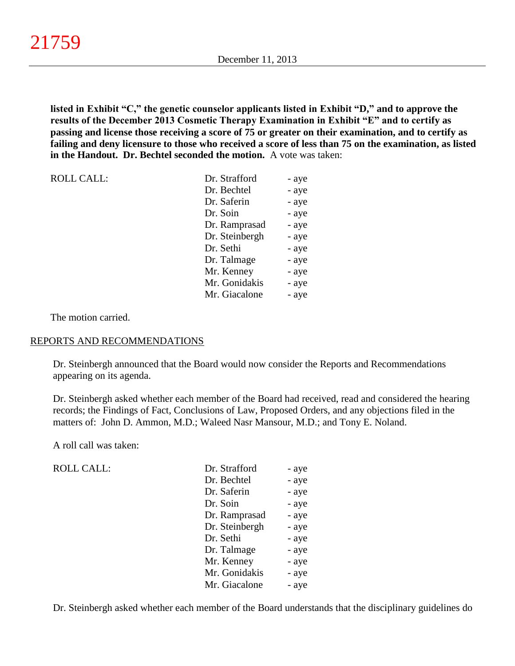**listed in Exhibit "C," the genetic counselor applicants listed in Exhibit "D," and to approve the results of the December 2013 Cosmetic Therapy Examination in Exhibit "E" and to certify as passing and license those receiving a score of 75 or greater on their examination, and to certify as failing and deny licensure to those who received a score of less than 75 on the examination, as listed in the Handout. Dr. Bechtel seconded the motion.** A vote was taken:

| <b>ROLL CALL:</b> | Dr. Strafford  | - aye |
|-------------------|----------------|-------|
|                   | Dr. Bechtel    | - aye |
|                   | Dr. Saferin    | - aye |
|                   | Dr. Soin       | - aye |
|                   | Dr. Ramprasad  | - aye |
|                   | Dr. Steinbergh | - aye |
|                   | Dr. Sethi      | - aye |
|                   | Dr. Talmage    | - aye |
|                   | Mr. Kenney     | - aye |
|                   | Mr. Gonidakis  | - aye |
|                   | Mr. Giacalone  | - aye |

The motion carried.

### REPORTS AND RECOMMENDATIONS

Dr. Steinbergh announced that the Board would now consider the Reports and Recommendations appearing on its agenda.

Dr. Steinbergh asked whether each member of the Board had received, read and considered the hearing records; the Findings of Fact, Conclusions of Law, Proposed Orders, and any objections filed in the matters of: John D. Ammon, M.D.; Waleed Nasr Mansour, M.D.; and Tony E. Noland.

A roll call was taken:

ROLL CALL:

| Dr. Strafford  | - aye |
|----------------|-------|
| Dr. Bechtel    | - aye |
| Dr. Saferin    | - aye |
| Dr. Soin       | - aye |
| Dr. Ramprasad  | - aye |
| Dr. Steinbergh | - aye |
| Dr. Sethi      | - aye |
| Dr. Talmage    | - aye |
| Mr. Kenney     | - aye |
| Mr. Gonidakis  | - aye |
| Mr. Giacalone  | - aye |

Dr. Steinbergh asked whether each member of the Board understands that the disciplinary guidelines do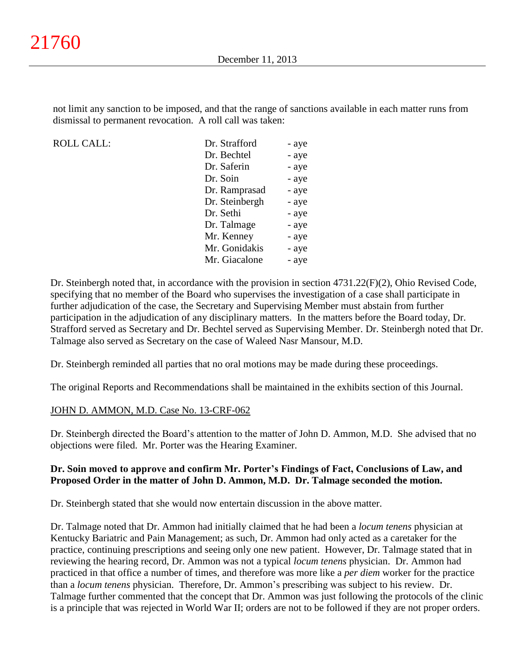not limit any sanction to be imposed, and that the range of sanctions available in each matter runs from dismissal to permanent revocation. A roll call was taken:

ROLL CALL:

| Dr. Strafford  | - aye |
|----------------|-------|
| Dr. Bechtel    | - aye |
| Dr. Saferin    | - aye |
| Dr. Soin       | - aye |
| Dr. Ramprasad  | - aye |
| Dr. Steinbergh | - aye |
| Dr. Sethi      | - aye |
| Dr. Talmage    | - aye |
| Mr. Kenney     | - aye |
| Mr. Gonidakis  | - aye |
| Mr. Giacalone  | - aye |

Dr. Steinbergh noted that, in accordance with the provision in section 4731.22(F)(2), Ohio Revised Code, specifying that no member of the Board who supervises the investigation of a case shall participate in further adjudication of the case, the Secretary and Supervising Member must abstain from further participation in the adjudication of any disciplinary matters. In the matters before the Board today, Dr. Strafford served as Secretary and Dr. Bechtel served as Supervising Member. Dr. Steinbergh noted that Dr. Talmage also served as Secretary on the case of Waleed Nasr Mansour, M.D.

Dr. Steinbergh reminded all parties that no oral motions may be made during these proceedings.

The original Reports and Recommendations shall be maintained in the exhibits section of this Journal.

### JOHN D. AMMON, M.D. Case No. 13-CRF-062

Dr. Steinbergh directed the Board's attention to the matter of John D. Ammon, M.D. She advised that no objections were filed. Mr. Porter was the Hearing Examiner.

### **Dr. Soin moved to approve and confirm Mr. Porter's Findings of Fact, Conclusions of Law, and Proposed Order in the matter of John D. Ammon, M.D. Dr. Talmage seconded the motion.**

Dr. Steinbergh stated that she would now entertain discussion in the above matter.

Dr. Talmage noted that Dr. Ammon had initially claimed that he had been a *locum tenens* physician at Kentucky Bariatric and Pain Management; as such, Dr. Ammon had only acted as a caretaker for the practice, continuing prescriptions and seeing only one new patient. However, Dr. Talmage stated that in reviewing the hearing record, Dr. Ammon was not a typical *locum tenens* physician. Dr. Ammon had practiced in that office a number of times, and therefore was more like a *per diem* worker for the practice than a *locum tenens* physician. Therefore, Dr. Ammon's prescribing was subject to his review. Dr. Talmage further commented that the concept that Dr. Ammon was just following the protocols of the clinic is a principle that was rejected in World War II; orders are not to be followed if they are not proper orders.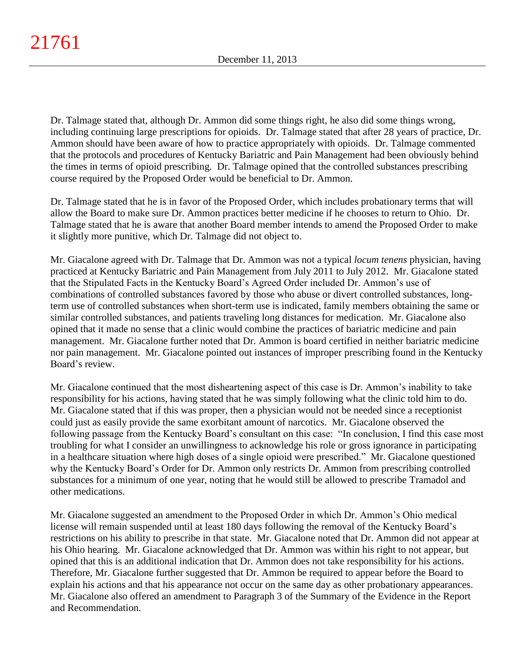Dr. Talmage stated that, although Dr. Ammon did some things right, he also did some things wrong, including continuing large prescriptions for opioids. Dr. Talmage stated that after 28 years of practice, Dr. Ammon should have been aware of how to practice appropriately with opioids. Dr. Talmage commented that the protocols and procedures of Kentucky Bariatric and Pain Management had been obviously behind the times in terms of opioid prescribing. Dr. Talmage opined that the controlled substances prescribing course required by the Proposed Order would be beneficial to Dr. Ammon.

Dr. Talmage stated that he is in favor of the Proposed Order, which includes probationary terms that will allow the Board to make sure Dr. Ammon practices better medicine if he chooses to return to Ohio. Dr. Talmage stated that he is aware that another Board member intends to amend the Proposed Order to make it slightly more punitive, which Dr. Talmage did not object to.

Mr. Giacalone agreed with Dr. Talmage that Dr. Ammon was not a typical *locum tenens* physician, having practiced at Kentucky Bariatric and Pain Management from July 2011 to July 2012. Mr. Giacalone stated that the Stipulated Facts in the Kentucky Board's Agreed Order included Dr. Ammon's use of combinations of controlled substances favored by those who abuse or divert controlled substances, longterm use of controlled substances when short-term use is indicated, family members obtaining the same or similar controlled substances, and patients traveling long distances for medication. Mr. Giacalone also opined that it made no sense that a clinic would combine the practices of bariatric medicine and pain management. Mr. Giacalone further noted that Dr. Ammon is board certified in neither bariatric medicine nor pain management. Mr. Giacalone pointed out instances of improper prescribing found in the Kentucky Board's review.

Mr. Giacalone continued that the most disheartening aspect of this case is Dr. Ammon's inability to take responsibility for his actions, having stated that he was simply following what the clinic told him to do. Mr. Giacalone stated that if this was proper, then a physician would not be needed since a receptionist could just as easily provide the same exorbitant amount of narcotics. Mr. Giacalone observed the following passage from the Kentucky Board's consultant on this case: "In conclusion, I find this case most troubling for what I consider an unwillingness to acknowledge his role or gross ignorance in participating in a healthcare situation where high doses of a single opioid were prescribed." Mr. Giacalone questioned why the Kentucky Board's Order for Dr. Ammon only restricts Dr. Ammon from prescribing controlled substances for a minimum of one year, noting that he would still be allowed to prescribe Tramadol and other medications.

Mr. Giacalone suggested an amendment to the Proposed Order in which Dr. Ammon's Ohio medical license will remain suspended until at least 180 days following the removal of the Kentucky Board's restrictions on his ability to prescribe in that state. Mr. Giacalone noted that Dr. Ammon did not appear at his Ohio hearing. Mr. Giacalone acknowledged that Dr. Ammon was within his right to not appear, but opined that this is an additional indication that Dr. Ammon does not take responsibility for his actions. Therefore, Mr. Giacalone further suggested that Dr. Ammon be required to appear before the Board to explain his actions and that his appearance not occur on the same day as other probationary appearances. Mr. Giacalone also offered an amendment to Paragraph 3 of the Summary of the Evidence in the Report and Recommendation.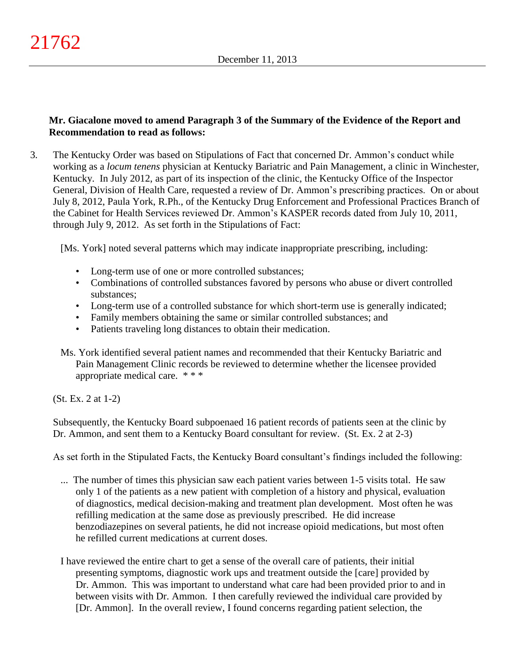# **Mr. Giacalone moved to amend Paragraph 3 of the Summary of the Evidence of the Report and Recommendation to read as follows:**

3. The Kentucky Order was based on Stipulations of Fact that concerned Dr. Ammon's conduct while working as a *locum tenens* physician at Kentucky Bariatric and Pain Management, a clinic in Winchester, Kentucky. In July 2012, as part of its inspection of the clinic, the Kentucky Office of the Inspector General, Division of Health Care, requested a review of Dr. Ammon's prescribing practices. On or about July 8, 2012, Paula York, R.Ph., of the Kentucky Drug Enforcement and Professional Practices Branch of the Cabinet for Health Services reviewed Dr. Ammon's KASPER records dated from July 10, 2011, through July 9, 2012. As set forth in the Stipulations of Fact:

[Ms. York] noted several patterns which may indicate inappropriate prescribing, including:

- Long-term use of one or more controlled substances;
- Combinations of controlled substances favored by persons who abuse or divert controlled substances;
- Long-term use of a controlled substance for which short-term use is generally indicated;
- Family members obtaining the same or similar controlled substances; and
- Patients traveling long distances to obtain their medication.
- Ms. York identified several patient names and recommended that their Kentucky Bariatric and Pain Management Clinic records be reviewed to determine whether the licensee provided appropriate medical care. \* \* \*

(St. Ex. 2 at 1-2)

Subsequently, the Kentucky Board subpoenaed 16 patient records of patients seen at the clinic by Dr. Ammon, and sent them to a Kentucky Board consultant for review. (St. Ex. 2 at 2-3)

As set forth in the Stipulated Facts, the Kentucky Board consultant's findings included the following:

- ... The number of times this physician saw each patient varies between 1-5 visits total. He saw only 1 of the patients as a new patient with completion of a history and physical, evaluation of diagnostics, medical decision-making and treatment plan development. Most often he was refilling medication at the same dose as previously prescribed. He did increase benzodiazepines on several patients, he did not increase opioid medications, but most often he refilled current medications at current doses.
- I have reviewed the entire chart to get a sense of the overall care of patients, their initial presenting symptoms, diagnostic work ups and treatment outside the [care] provided by Dr. Ammon. This was important to understand what care had been provided prior to and in between visits with Dr. Ammon. I then carefully reviewed the individual care provided by [Dr. Ammon]. In the overall review, I found concerns regarding patient selection, the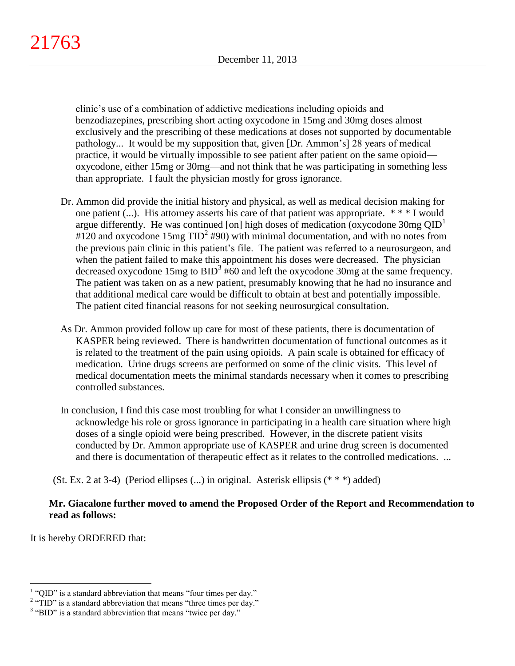clinic's use of a combination of addictive medications including opioids and benzodiazepines, prescribing short acting oxycodone in 15mg and 30mg doses almost exclusively and the prescribing of these medications at doses not supported by documentable pathology... It would be my supposition that, given [Dr. Ammon's] 28 years of medical practice, it would be virtually impossible to see patient after patient on the same opioid oxycodone, either 15mg or 30mg—and not think that he was participating in something less than appropriate. I fault the physician mostly for gross ignorance.

- Dr. Ammon did provide the initial history and physical, as well as medical decision making for one patient (...). His attorney asserts his care of that patient was appropriate. \* \* \* I would argue differently. He was continued [on] high doses of medication (oxycodone 30mg  $QID<sup>1</sup>$ #120 and oxycodone 15mg  $TID^2$  #90) with minimal documentation, and with no notes from the previous pain clinic in this patient's file. The patient was referred to a neurosurgeon, and when the patient failed to make this appointment his doses were decreased. The physician decreased oxycodone  $15mg$  to  $BID<sup>3</sup>$  #60 and left the oxycodone 30mg at the same frequency. The patient was taken on as a new patient, presumably knowing that he had no insurance and that additional medical care would be difficult to obtain at best and potentially impossible. The patient cited financial reasons for not seeking neurosurgical consultation.
- As Dr. Ammon provided follow up care for most of these patients, there is documentation of KASPER being reviewed. There is handwritten documentation of functional outcomes as it is related to the treatment of the pain using opioids. A pain scale is obtained for efficacy of medication. Urine drugs screens are performed on some of the clinic visits. This level of medical documentation meets the minimal standards necessary when it comes to prescribing controlled substances.
- In conclusion, I find this case most troubling for what I consider an unwillingness to acknowledge his role or gross ignorance in participating in a health care situation where high doses of a single opioid were being prescribed. However, in the discrete patient visits conducted by Dr. Ammon appropriate use of KASPER and urine drug screen is documented and there is documentation of therapeutic effect as it relates to the controlled medications. ...

(St. Ex. 2 at 3-4) (Period ellipses (...) in original. Asterisk ellipsis (\* \* \*) added)

# **Mr. Giacalone further moved to amend the Proposed Order of the Report and Recommendation to read as follows:**

It is hereby ORDERED that:

 $\overline{a}$ 

 $<sup>1</sup>$  "QID" is a standard abbreviation that means "four times per day."</sup>

 $2 \text{ "TID"}$  is a standard abbreviation that means "three times per day."

<sup>&</sup>lt;sup>3</sup> "BID" is a standard abbreviation that means "twice per day."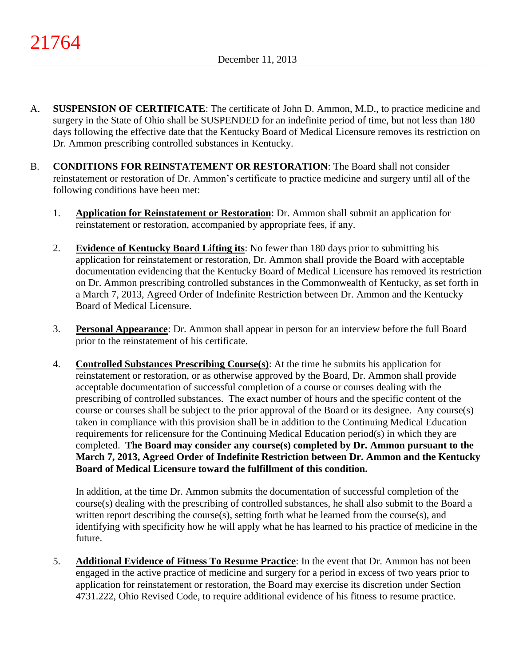- A. **SUSPENSION OF CERTIFICATE**: The certificate of John D. Ammon, M.D., to practice medicine and surgery in the State of Ohio shall be SUSPENDED for an indefinite period of time, but not less than 180 days following the effective date that the Kentucky Board of Medical Licensure removes its restriction on Dr. Ammon prescribing controlled substances in Kentucky.
- B. **CONDITIONS FOR REINSTATEMENT OR RESTORATION**: The Board shall not consider reinstatement or restoration of Dr. Ammon's certificate to practice medicine and surgery until all of the following conditions have been met:
	- 1. **Application for Reinstatement or Restoration**: Dr. Ammon shall submit an application for reinstatement or restoration, accompanied by appropriate fees, if any.
	- 2. **Evidence of Kentucky Board Lifting its**: No fewer than 180 days prior to submitting his application for reinstatement or restoration, Dr. Ammon shall provide the Board with acceptable documentation evidencing that the Kentucky Board of Medical Licensure has removed its restriction on Dr. Ammon prescribing controlled substances in the Commonwealth of Kentucky, as set forth in a March 7, 2013, Agreed Order of Indefinite Restriction between Dr. Ammon and the Kentucky Board of Medical Licensure.
	- 3. **Personal Appearance**: Dr. Ammon shall appear in person for an interview before the full Board prior to the reinstatement of his certificate.
	- 4. **Controlled Substances Prescribing Course(s)**: At the time he submits his application for reinstatement or restoration, or as otherwise approved by the Board, Dr. Ammon shall provide acceptable documentation of successful completion of a course or courses dealing with the prescribing of controlled substances. The exact number of hours and the specific content of the course or courses shall be subject to the prior approval of the Board or its designee. Any course(s) taken in compliance with this provision shall be in addition to the Continuing Medical Education requirements for relicensure for the Continuing Medical Education period(s) in which they are completed. **The Board may consider any course(s) completed by Dr. Ammon pursuant to the March 7, 2013, Agreed Order of Indefinite Restriction between Dr. Ammon and the Kentucky Board of Medical Licensure toward the fulfillment of this condition.**

In addition, at the time Dr. Ammon submits the documentation of successful completion of the course(s) dealing with the prescribing of controlled substances, he shall also submit to the Board a written report describing the course(s), setting forth what he learned from the course(s), and identifying with specificity how he will apply what he has learned to his practice of medicine in the future.

5. **Additional Evidence of Fitness To Resume Practice**: In the event that Dr. Ammon has not been engaged in the active practice of medicine and surgery for a period in excess of two years prior to application for reinstatement or restoration, the Board may exercise its discretion under Section 4731.222, Ohio Revised Code, to require additional evidence of his fitness to resume practice.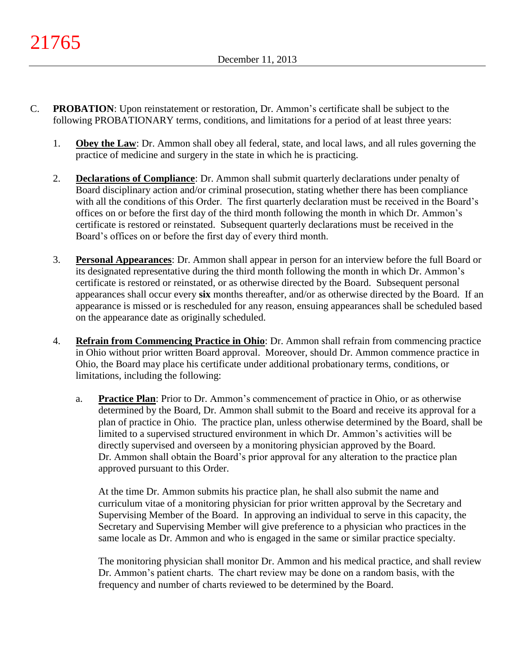- C. **PROBATION**: Upon reinstatement or restoration, Dr. Ammon's certificate shall be subject to the following PROBATIONARY terms, conditions, and limitations for a period of at least three years:
	- 1. **Obey the Law**: Dr. Ammon shall obey all federal, state, and local laws, and all rules governing the practice of medicine and surgery in the state in which he is practicing.
	- 2. **Declarations of Compliance**: Dr. Ammon shall submit quarterly declarations under penalty of Board disciplinary action and/or criminal prosecution, stating whether there has been compliance with all the conditions of this Order. The first quarterly declaration must be received in the Board's offices on or before the first day of the third month following the month in which Dr. Ammon's certificate is restored or reinstated. Subsequent quarterly declarations must be received in the Board's offices on or before the first day of every third month.
	- 3. **Personal Appearances**: Dr. Ammon shall appear in person for an interview before the full Board or its designated representative during the third month following the month in which Dr. Ammon's certificate is restored or reinstated, or as otherwise directed by the Board. Subsequent personal appearances shall occur every **six** months thereafter, and/or as otherwise directed by the Board. If an appearance is missed or is rescheduled for any reason, ensuing appearances shall be scheduled based on the appearance date as originally scheduled.
	- 4. **Refrain from Commencing Practice in Ohio**: Dr. Ammon shall refrain from commencing practice in Ohio without prior written Board approval. Moreover, should Dr. Ammon commence practice in Ohio, the Board may place his certificate under additional probationary terms, conditions, or limitations, including the following:
		- a. **Practice Plan**: Prior to Dr. Ammon's commencement of practice in Ohio, or as otherwise determined by the Board, Dr. Ammon shall submit to the Board and receive its approval for a plan of practice in Ohio. The practice plan, unless otherwise determined by the Board, shall be limited to a supervised structured environment in which Dr. Ammon's activities will be directly supervised and overseen by a monitoring physician approved by the Board. Dr. Ammon shall obtain the Board's prior approval for any alteration to the practice plan approved pursuant to this Order.

At the time Dr. Ammon submits his practice plan, he shall also submit the name and curriculum vitae of a monitoring physician for prior written approval by the Secretary and Supervising Member of the Board. In approving an individual to serve in this capacity, the Secretary and Supervising Member will give preference to a physician who practices in the same locale as Dr. Ammon and who is engaged in the same or similar practice specialty.

The monitoring physician shall monitor Dr. Ammon and his medical practice, and shall review Dr. Ammon's patient charts. The chart review may be done on a random basis, with the frequency and number of charts reviewed to be determined by the Board.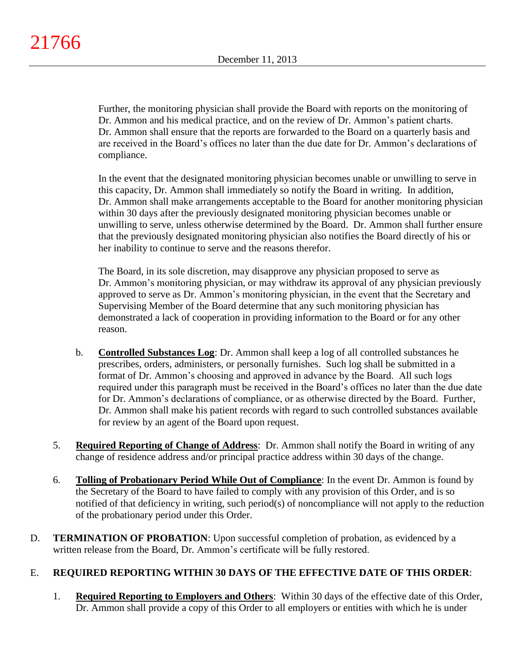Further, the monitoring physician shall provide the Board with reports on the monitoring of Dr. Ammon and his medical practice, and on the review of Dr. Ammon's patient charts. Dr. Ammon shall ensure that the reports are forwarded to the Board on a quarterly basis and are received in the Board's offices no later than the due date for Dr. Ammon's declarations of compliance.

In the event that the designated monitoring physician becomes unable or unwilling to serve in this capacity, Dr. Ammon shall immediately so notify the Board in writing. In addition, Dr. Ammon shall make arrangements acceptable to the Board for another monitoring physician within 30 days after the previously designated monitoring physician becomes unable or unwilling to serve, unless otherwise determined by the Board. Dr. Ammon shall further ensure that the previously designated monitoring physician also notifies the Board directly of his or her inability to continue to serve and the reasons therefor.

The Board, in its sole discretion, may disapprove any physician proposed to serve as Dr. Ammon's monitoring physician, or may withdraw its approval of any physician previously approved to serve as Dr. Ammon's monitoring physician, in the event that the Secretary and Supervising Member of the Board determine that any such monitoring physician has demonstrated a lack of cooperation in providing information to the Board or for any other reason.

- b. **Controlled Substances Log**: Dr. Ammon shall keep a log of all controlled substances he prescribes, orders, administers, or personally furnishes. Such log shall be submitted in a format of Dr. Ammon's choosing and approved in advance by the Board. All such logs required under this paragraph must be received in the Board's offices no later than the due date for Dr. Ammon's declarations of compliance, or as otherwise directed by the Board. Further, Dr. Ammon shall make his patient records with regard to such controlled substances available for review by an agent of the Board upon request.
- 5. **Required Reporting of Change of Address**: Dr. Ammon shall notify the Board in writing of any change of residence address and/or principal practice address within 30 days of the change.
- 6. **Tolling of Probationary Period While Out of Compliance**: In the event Dr. Ammon is found by the Secretary of the Board to have failed to comply with any provision of this Order, and is so notified of that deficiency in writing, such period(s) of noncompliance will not apply to the reduction of the probationary period under this Order.
- D. **TERMINATION OF PROBATION**: Upon successful completion of probation, as evidenced by a written release from the Board, Dr. Ammon's certificate will be fully restored.

# E. **REQUIRED REPORTING WITHIN 30 DAYS OF THE EFFECTIVE DATE OF THIS ORDER**:

1. **Required Reporting to Employers and Others**: Within 30 days of the effective date of this Order, Dr. Ammon shall provide a copy of this Order to all employers or entities with which he is under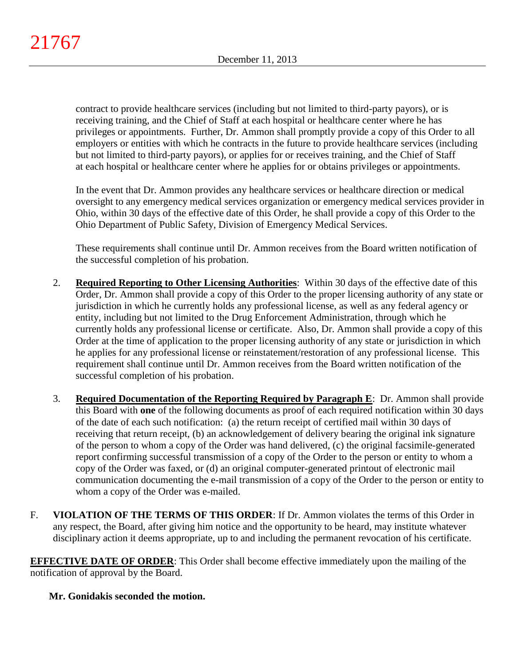contract to provide healthcare services (including but not limited to third-party payors), or is receiving training, and the Chief of Staff at each hospital or healthcare center where he has privileges or appointments. Further, Dr. Ammon shall promptly provide a copy of this Order to all employers or entities with which he contracts in the future to provide healthcare services (including but not limited to third-party payors), or applies for or receives training, and the Chief of Staff at each hospital or healthcare center where he applies for or obtains privileges or appointments.

In the event that Dr. Ammon provides any healthcare services or healthcare direction or medical oversight to any emergency medical services organization or emergency medical services provider in Ohio, within 30 days of the effective date of this Order, he shall provide a copy of this Order to the Ohio Department of Public Safety, Division of Emergency Medical Services.

These requirements shall continue until Dr. Ammon receives from the Board written notification of the successful completion of his probation.

- 2. **Required Reporting to Other Licensing Authorities**: Within 30 days of the effective date of this Order, Dr. Ammon shall provide a copy of this Order to the proper licensing authority of any state or jurisdiction in which he currently holds any professional license, as well as any federal agency or entity, including but not limited to the Drug Enforcement Administration, through which he currently holds any professional license or certificate. Also, Dr. Ammon shall provide a copy of this Order at the time of application to the proper licensing authority of any state or jurisdiction in which he applies for any professional license or reinstatement/restoration of any professional license. This requirement shall continue until Dr. Ammon receives from the Board written notification of the successful completion of his probation.
- 3. **Required Documentation of the Reporting Required by Paragraph E**: Dr. Ammon shall provide this Board with **one** of the following documents as proof of each required notification within 30 days of the date of each such notification: (a) the return receipt of certified mail within 30 days of receiving that return receipt, (b) an acknowledgement of delivery bearing the original ink signature of the person to whom a copy of the Order was hand delivered, (c) the original facsimile-generated report confirming successful transmission of a copy of the Order to the person or entity to whom a copy of the Order was faxed, or (d) an original computer-generated printout of electronic mail communication documenting the e-mail transmission of a copy of the Order to the person or entity to whom a copy of the Order was e-mailed.
- F. **VIOLATION OF THE TERMS OF THIS ORDER**: If Dr. Ammon violates the terms of this Order in any respect, the Board, after giving him notice and the opportunity to be heard, may institute whatever disciplinary action it deems appropriate, up to and including the permanent revocation of his certificate.

**EFFECTIVE DATE OF ORDER**: This Order shall become effective immediately upon the mailing of the notification of approval by the Board.

**Mr. Gonidakis seconded the motion.**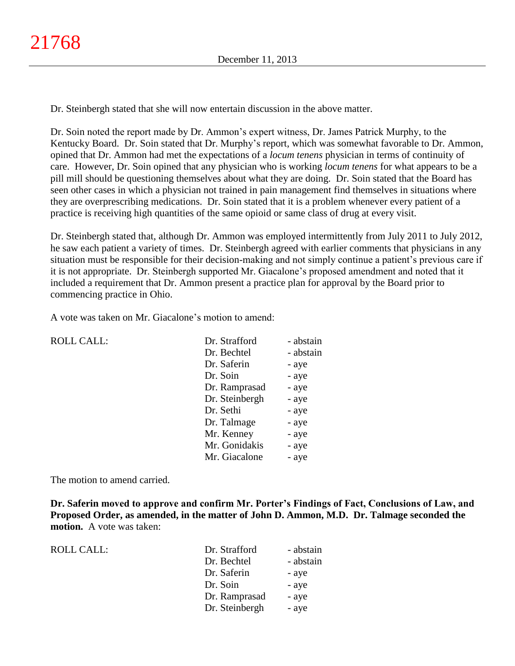Dr. Steinbergh stated that she will now entertain discussion in the above matter.

Dr. Soin noted the report made by Dr. Ammon's expert witness, Dr. James Patrick Murphy, to the Kentucky Board. Dr. Soin stated that Dr. Murphy's report, which was somewhat favorable to Dr. Ammon, opined that Dr. Ammon had met the expectations of a *locum tenens* physician in terms of continuity of care. However, Dr. Soin opined that any physician who is working *locum tenens* for what appears to be a pill mill should be questioning themselves about what they are doing. Dr. Soin stated that the Board has seen other cases in which a physician not trained in pain management find themselves in situations where they are overprescribing medications. Dr. Soin stated that it is a problem whenever every patient of a practice is receiving high quantities of the same opioid or same class of drug at every visit.

Dr. Steinbergh stated that, although Dr. Ammon was employed intermittently from July 2011 to July 2012, he saw each patient a variety of times. Dr. Steinbergh agreed with earlier comments that physicians in any situation must be responsible for their decision-making and not simply continue a patient's previous care if it is not appropriate. Dr. Steinbergh supported Mr. Giacalone's proposed amendment and noted that it included a requirement that Dr. Ammon present a practice plan for approval by the Board prior to commencing practice in Ohio.

A vote was taken on Mr. Giacalone's motion to amend:

| <b>ROLL CALL:</b> | Dr. Strafford  | - abstain |
|-------------------|----------------|-----------|
|                   | Dr. Bechtel    | - abstain |
|                   | Dr. Saferin    | - aye     |
|                   | Dr. Soin       | - aye     |
|                   | Dr. Ramprasad  | - aye     |
|                   | Dr. Steinbergh | - aye     |
|                   | Dr. Sethi      | - aye     |
|                   | Dr. Talmage    | - aye     |
|                   | Mr. Kenney     | - aye     |
|                   | Mr. Gonidakis  | - aye     |
|                   | Mr. Giacalone  | - aye     |
|                   |                |           |

The motion to amend carried.

**Dr. Saferin moved to approve and confirm Mr. Porter's Findings of Fact, Conclusions of Law, and Proposed Order, as amended, in the matter of John D. Ammon, M.D. Dr. Talmage seconded the motion.** A vote was taken:

| <b>ROLL CALL:</b> |  |
|-------------------|--|
|-------------------|--|

| ROLL CALL: | Dr. Strafford  | - abstain |
|------------|----------------|-----------|
|            | Dr. Bechtel    | - abstain |
|            | Dr. Saferin    | - aye     |
|            | Dr. Soin       | - aye     |
|            | Dr. Ramprasad  | - aye     |
|            | Dr. Steinbergh | - aye     |
|            |                |           |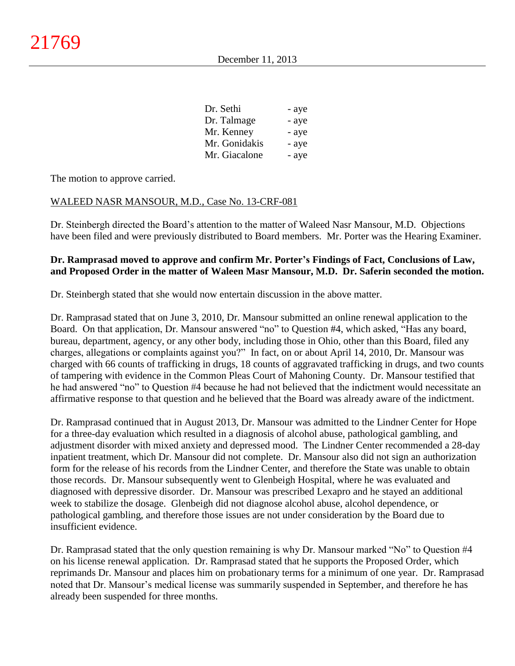| - aye |
|-------|
| - aye |
| - aye |
| - aye |
| - aye |
|       |

The motion to approve carried.

### WALEED NASR MANSOUR, M.D., Case No. 13-CRF-081

Dr. Steinbergh directed the Board's attention to the matter of Waleed Nasr Mansour, M.D. Objections have been filed and were previously distributed to Board members. Mr. Porter was the Hearing Examiner.

# **Dr. Ramprasad moved to approve and confirm Mr. Porter's Findings of Fact, Conclusions of Law, and Proposed Order in the matter of Waleen Masr Mansour, M.D. Dr. Saferin seconded the motion.**

Dr. Steinbergh stated that she would now entertain discussion in the above matter.

Dr. Ramprasad stated that on June 3, 2010, Dr. Mansour submitted an online renewal application to the Board. On that application, Dr. Mansour answered "no" to Question #4, which asked, "Has any board, bureau, department, agency, or any other body, including those in Ohio, other than this Board, filed any charges, allegations or complaints against you?" In fact, on or about April 14, 2010, Dr. Mansour was charged with 66 counts of trafficking in drugs, 18 counts of aggravated trafficking in drugs, and two counts of tampering with evidence in the Common Pleas Court of Mahoning County. Dr. Mansour testified that he had answered "no" to Question #4 because he had not believed that the indictment would necessitate an affirmative response to that question and he believed that the Board was already aware of the indictment.

Dr. Ramprasad continued that in August 2013, Dr. Mansour was admitted to the Lindner Center for Hope for a three-day evaluation which resulted in a diagnosis of alcohol abuse, pathological gambling, and adjustment disorder with mixed anxiety and depressed mood. The Lindner Center recommended a 28-day inpatient treatment, which Dr. Mansour did not complete. Dr. Mansour also did not sign an authorization form for the release of his records from the Lindner Center, and therefore the State was unable to obtain those records. Dr. Mansour subsequently went to Glenbeigh Hospital, where he was evaluated and diagnosed with depressive disorder. Dr. Mansour was prescribed Lexapro and he stayed an additional week to stabilize the dosage. Glenbeigh did not diagnose alcohol abuse, alcohol dependence, or pathological gambling, and therefore those issues are not under consideration by the Board due to insufficient evidence.

Dr. Ramprasad stated that the only question remaining is why Dr. Mansour marked "No" to Question #4 on his license renewal application. Dr. Ramprasad stated that he supports the Proposed Order, which reprimands Dr. Mansour and places him on probationary terms for a minimum of one year. Dr. Ramprasad noted that Dr. Mansour's medical license was summarily suspended in September, and therefore he has already been suspended for three months.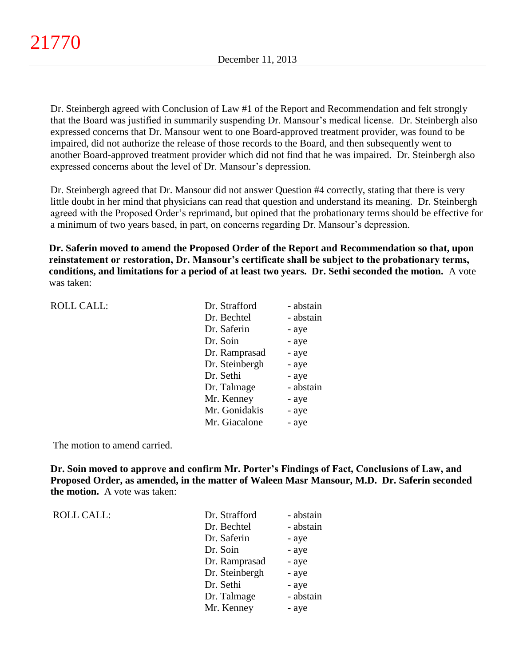Dr. Steinbergh agreed with Conclusion of Law #1 of the Report and Recommendation and felt strongly that the Board was justified in summarily suspending Dr. Mansour's medical license. Dr. Steinbergh also expressed concerns that Dr. Mansour went to one Board-approved treatment provider, was found to be impaired, did not authorize the release of those records to the Board, and then subsequently went to another Board-approved treatment provider which did not find that he was impaired. Dr. Steinbergh also expressed concerns about the level of Dr. Mansour's depression.

Dr. Steinbergh agreed that Dr. Mansour did not answer Question #4 correctly, stating that there is very little doubt in her mind that physicians can read that question and understand its meaning. Dr. Steinbergh agreed with the Proposed Order's reprimand, but opined that the probationary terms should be effective for a minimum of two years based, in part, on concerns regarding Dr. Mansour's depression.

**Dr. Saferin moved to amend the Proposed Order of the Report and Recommendation so that, upon reinstatement or restoration, Dr. Mansour's certificate shall be subject to the probationary terms, conditions, and limitations for a period of at least two years. Dr. Sethi seconded the motion.** A vote was taken:

| Dr. Strafford  | - abstain |
|----------------|-----------|
| Dr. Bechtel    | - abstain |
| Dr. Saferin    | - aye     |
| Dr. Soin       | - aye     |
| Dr. Ramprasad  | - aye     |
| Dr. Steinbergh | - aye     |
| Dr. Sethi      | - aye     |
| Dr. Talmage    | - abstain |
| Mr. Kenney     | - aye     |
| Mr. Gonidakis  | - aye     |
| Mr. Giacalone  | - aye     |

The motion to amend carried.

**Dr. Soin moved to approve and confirm Mr. Porter's Findings of Fact, Conclusions of Law, and Proposed Order, as amended, in the matter of Waleen Masr Mansour, M.D. Dr. Saferin seconded the motion.** A vote was taken:

ROLL CALL: T

ROLL CALL:

| Dr. Strafford  | - abstain |
|----------------|-----------|
| Dr. Bechtel    | - abstain |
| Dr. Saferin    | - aye     |
| Dr. Soin       | - aye     |
| Dr. Ramprasad  | - aye     |
| Dr. Steinbergh | - aye     |
| Dr. Sethi      | - aye     |
| Dr. Talmage    | - abstain |
| Mr. Kenney     | - aye     |
|                |           |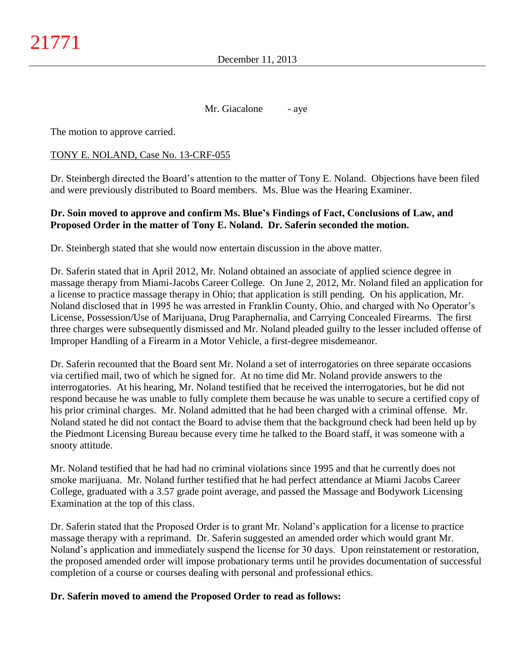Mr. Giacalone - aye

The motion to approve carried.

### TONY E. NOLAND, Case No. 13-CRF-055

Dr. Steinbergh directed the Board's attention to the matter of Tony E. Noland. Objections have been filed and were previously distributed to Board members. Ms. Blue was the Hearing Examiner.

### **Dr. Soin moved to approve and confirm Ms. Blue's Findings of Fact, Conclusions of Law, and Proposed Order in the matter of Tony E. Noland. Dr. Saferin seconded the motion.**

Dr. Steinbergh stated that she would now entertain discussion in the above matter.

Dr. Saferin stated that in April 2012, Mr. Noland obtained an associate of applied science degree in massage therapy from Miami-Jacobs Career College. On June 2, 2012, Mr. Noland filed an application for a license to practice massage therapy in Ohio; that application is still pending. On his application, Mr. Noland disclosed that in 1995 he was arrested in Franklin County, Ohio, and charged with No Operator's License, Possession/Use of Marijuana, Drug Paraphernalia, and Carrying Concealed Firearms. The first three charges were subsequently dismissed and Mr. Noland pleaded guilty to the lesser included offense of Improper Handling of a Firearm in a Motor Vehicle, a first-degree misdemeanor.

Dr. Saferin recounted that the Board sent Mr. Noland a set of interrogatories on three separate occasions via certified mail, two of which he signed for. At no time did Mr. Noland provide answers to the interrogatories. At his hearing, Mr. Noland testified that he received the interrogatories, but he did not respond because he was unable to fully complete them because he was unable to secure a certified copy of his prior criminal charges. Mr. Noland admitted that he had been charged with a criminal offense. Mr. Noland stated he did not contact the Board to advise them that the background check had been held up by the Piedmont Licensing Bureau because every time he talked to the Board staff, it was someone with a snooty attitude.

Mr. Noland testified that he had had no criminal violations since 1995 and that he currently does not smoke marijuana. Mr. Noland further testified that he had perfect attendance at Miami Jacobs Career College, graduated with a 3.57 grade point average, and passed the Massage and Bodywork Licensing Examination at the top of this class.

Dr. Saferin stated that the Proposed Order is to grant Mr. Noland's application for a license to practice massage therapy with a reprimand. Dr. Saferin suggested an amended order which would grant Mr. Noland's application and immediately suspend the license for 30 days. Upon reinstatement or restoration, the proposed amended order will impose probationary terms until he provides documentation of successful completion of a course or courses dealing with personal and professional ethics.

# **Dr. Saferin moved to amend the Proposed Order to read as follows:**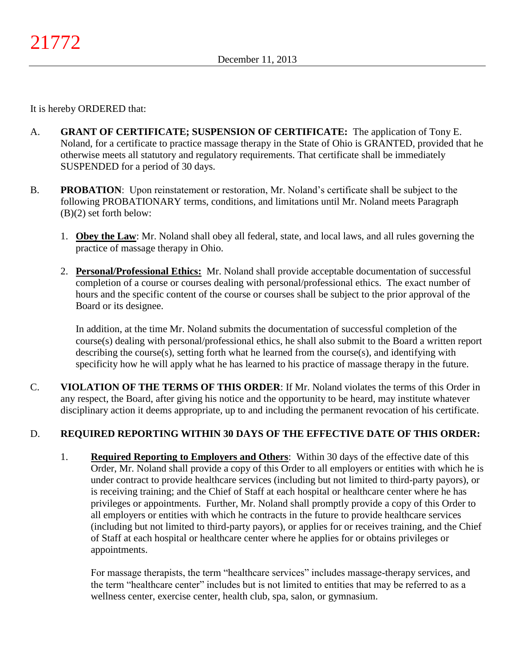It is hereby ORDERED that:

- A. **GRANT OF CERTIFICATE; SUSPENSION OF CERTIFICATE:** The application of Tony E. Noland, for a certificate to practice massage therapy in the State of Ohio is GRANTED, provided that he otherwise meets all statutory and regulatory requirements. That certificate shall be immediately SUSPENDED for a period of 30 days.
- B. **PROBATION**: Upon reinstatement or restoration, Mr. Noland's certificate shall be subject to the following PROBATIONARY terms, conditions, and limitations until Mr. Noland meets Paragraph (B)(2) set forth below:
	- 1. **Obey the Law**: Mr. Noland shall obey all federal, state, and local laws, and all rules governing the practice of massage therapy in Ohio.
	- 2. **Personal/Professional Ethics:** Mr. Noland shall provide acceptable documentation of successful completion of a course or courses dealing with personal/professional ethics. The exact number of hours and the specific content of the course or courses shall be subject to the prior approval of the Board or its designee.

In addition, at the time Mr. Noland submits the documentation of successful completion of the course(s) dealing with personal/professional ethics, he shall also submit to the Board a written report describing the course(s), setting forth what he learned from the course(s), and identifying with specificity how he will apply what he has learned to his practice of massage therapy in the future.

C. **VIOLATION OF THE TERMS OF THIS ORDER**: If Mr. Noland violates the terms of this Order in any respect, the Board, after giving his notice and the opportunity to be heard, may institute whatever disciplinary action it deems appropriate, up to and including the permanent revocation of his certificate.

# D. **REQUIRED REPORTING WITHIN 30 DAYS OF THE EFFECTIVE DATE OF THIS ORDER:**

1. **Required Reporting to Employers and Others**: Within 30 days of the effective date of this Order, Mr. Noland shall provide a copy of this Order to all employers or entities with which he is under contract to provide healthcare services (including but not limited to third-party payors), or is receiving training; and the Chief of Staff at each hospital or healthcare center where he has privileges or appointments. Further, Mr. Noland shall promptly provide a copy of this Order to all employers or entities with which he contracts in the future to provide healthcare services (including but not limited to third-party payors), or applies for or receives training, and the Chief of Staff at each hospital or healthcare center where he applies for or obtains privileges or appointments.

For massage therapists, the term "healthcare services" includes massage-therapy services, and the term "healthcare center" includes but is not limited to entities that may be referred to as a wellness center, exercise center, health club, spa, salon, or gymnasium.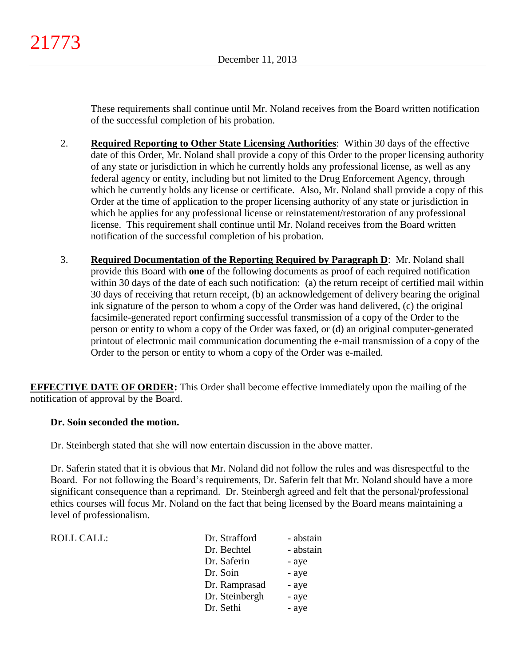These requirements shall continue until Mr. Noland receives from the Board written notification of the successful completion of his probation.

- 2. **Required Reporting to Other State Licensing Authorities**: Within 30 days of the effective date of this Order, Mr. Noland shall provide a copy of this Order to the proper licensing authority of any state or jurisdiction in which he currently holds any professional license, as well as any federal agency or entity, including but not limited to the Drug Enforcement Agency, through which he currently holds any license or certificate. Also, Mr. Noland shall provide a copy of this Order at the time of application to the proper licensing authority of any state or jurisdiction in which he applies for any professional license or reinstatement/restoration of any professional license. This requirement shall continue until Mr. Noland receives from the Board written notification of the successful completion of his probation.
- 3. **Required Documentation of the Reporting Required by Paragraph D**: Mr. Noland shall provide this Board with **one** of the following documents as proof of each required notification within 30 days of the date of each such notification: (a) the return receipt of certified mail within 30 days of receiving that return receipt, (b) an acknowledgement of delivery bearing the original ink signature of the person to whom a copy of the Order was hand delivered, (c) the original facsimile-generated report confirming successful transmission of a copy of the Order to the person or entity to whom a copy of the Order was faxed, or (d) an original computer-generated printout of electronic mail communication documenting the e-mail transmission of a copy of the Order to the person or entity to whom a copy of the Order was e-mailed.

**EFFECTIVE DATE OF ORDER:** This Order shall become effective immediately upon the mailing of the notification of approval by the Board.

# **Dr. Soin seconded the motion.**

ROLL CALL:

Dr. Steinbergh stated that she will now entertain discussion in the above matter.

Dr. Saferin stated that it is obvious that Mr. Noland did not follow the rules and was disrespectful to the Board. For not following the Board's requirements, Dr. Saferin felt that Mr. Noland should have a more significant consequence than a reprimand. Dr. Steinbergh agreed and felt that the personal/professional ethics courses will focus Mr. Noland on the fact that being licensed by the Board means maintaining a level of professionalism.

| Dr. Strafford  | - abstain |
|----------------|-----------|
| Dr. Bechtel    | - abstain |
| Dr. Saferin    | - aye     |
| Dr. Soin       | - aye     |
| Dr. Ramprasad  | - aye     |
| Dr. Steinbergh | - aye     |
| Dr. Sethi      | - aye     |
|                |           |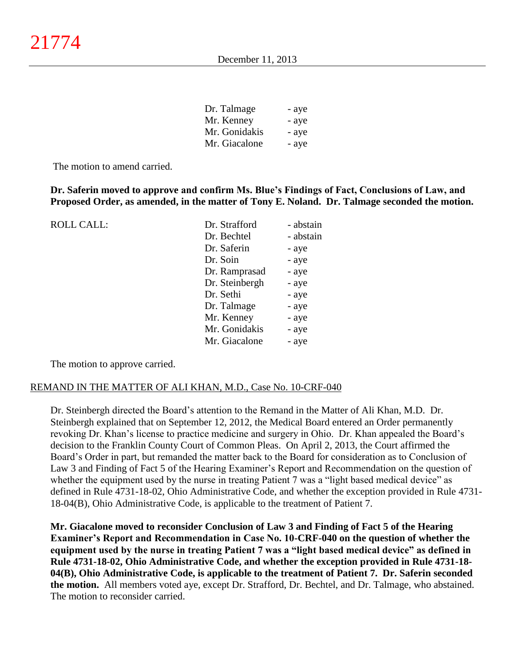| Dr. Talmage   | - aye |
|---------------|-------|
| Mr. Kenney    | - aye |
| Mr. Gonidakis | - aye |
| Mr. Giacalone | - aye |

The motion to amend carried.

ROLL CALL:

**Dr. Saferin moved to approve and confirm Ms. Blue's Findings of Fact, Conclusions of Law, and Proposed Order, as amended, in the matter of Tony E. Noland. Dr. Talmage seconded the motion.**

| Dr. Strafford  | - abstain |
|----------------|-----------|
| Dr. Bechtel    | - abstain |
| Dr. Saferin    | - aye     |
| Dr. Soin       | - aye     |
| Dr. Ramprasad  | - aye     |
| Dr. Steinbergh | - aye     |
| Dr. Sethi      | - aye     |
| Dr. Talmage    | - aye     |
| Mr. Kenney     | - aye     |
| Mr. Gonidakis  | - aye     |
| Mr. Giacalone  | - aye     |
|                |           |

The motion to approve carried.

#### REMAND IN THE MATTER OF ALI KHAN, M.D., Case No. 10-CRF-040

Dr. Steinbergh directed the Board's attention to the Remand in the Matter of Ali Khan, M.D. Dr. Steinbergh explained that on September 12, 2012, the Medical Board entered an Order permanently revoking Dr. Khan's license to practice medicine and surgery in Ohio. Dr. Khan appealed the Board's decision to the Franklin County Court of Common Pleas. On April 2, 2013, the Court affirmed the Board's Order in part, but remanded the matter back to the Board for consideration as to Conclusion of Law 3 and Finding of Fact 5 of the Hearing Examiner's Report and Recommendation on the question of whether the equipment used by the nurse in treating Patient 7 was a "light based medical device" as defined in Rule 4731-18-02, Ohio Administrative Code, and whether the exception provided in Rule 4731- 18-04(B), Ohio Administrative Code, is applicable to the treatment of Patient 7.

**Mr. Giacalone moved to reconsider Conclusion of Law 3 and Finding of Fact 5 of the Hearing Examiner's Report and Recommendation in Case No. 10-CRF-040 on the question of whether the equipment used by the nurse in treating Patient 7 was a "light based medical device" as defined in Rule 4731-18-02, Ohio Administrative Code, and whether the exception provided in Rule 4731-18- 04(B), Ohio Administrative Code, is applicable to the treatment of Patient 7. Dr. Saferin seconded the motion.** All members voted aye, except Dr. Strafford, Dr. Bechtel, and Dr. Talmage, who abstained. The motion to reconsider carried.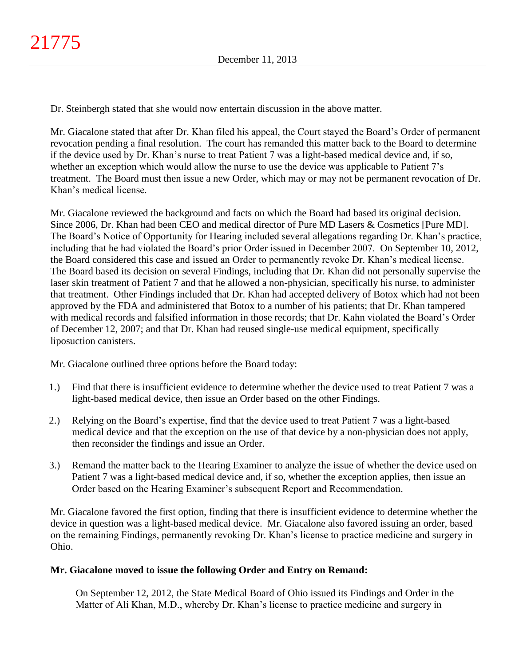Dr. Steinbergh stated that she would now entertain discussion in the above matter.

Mr. Giacalone stated that after Dr. Khan filed his appeal, the Court stayed the Board's Order of permanent revocation pending a final resolution. The court has remanded this matter back to the Board to determine if the device used by Dr. Khan's nurse to treat Patient 7 was a light-based medical device and, if so, whether an exception which would allow the nurse to use the device was applicable to Patient 7's treatment. The Board must then issue a new Order, which may or may not be permanent revocation of Dr. Khan's medical license.

Mr. Giacalone reviewed the background and facts on which the Board had based its original decision. Since 2006, Dr. Khan had been CEO and medical director of Pure MD Lasers & Cosmetics [Pure MD]. The Board's Notice of Opportunity for Hearing included several allegations regarding Dr. Khan's practice, including that he had violated the Board's prior Order issued in December 2007. On September 10, 2012, the Board considered this case and issued an Order to permanently revoke Dr. Khan's medical license. The Board based its decision on several Findings, including that Dr. Khan did not personally supervise the laser skin treatment of Patient 7 and that he allowed a non-physician, specifically his nurse, to administer that treatment. Other Findings included that Dr. Khan had accepted delivery of Botox which had not been approved by the FDA and administered that Botox to a number of his patients; that Dr. Khan tampered with medical records and falsified information in those records; that Dr. Kahn violated the Board's Order of December 12, 2007; and that Dr. Khan had reused single-use medical equipment, specifically liposuction canisters.

Mr. Giacalone outlined three options before the Board today:

- 1.) Find that there is insufficient evidence to determine whether the device used to treat Patient 7 was a light-based medical device, then issue an Order based on the other Findings.
- 2.) Relying on the Board's expertise, find that the device used to treat Patient 7 was a light-based medical device and that the exception on the use of that device by a non-physician does not apply, then reconsider the findings and issue an Order.
- 3.) Remand the matter back to the Hearing Examiner to analyze the issue of whether the device used on Patient 7 was a light-based medical device and, if so, whether the exception applies, then issue an Order based on the Hearing Examiner's subsequent Report and Recommendation.

Mr. Giacalone favored the first option, finding that there is insufficient evidence to determine whether the device in question was a light-based medical device. Mr. Giacalone also favored issuing an order, based on the remaining Findings, permanently revoking Dr. Khan's license to practice medicine and surgery in Ohio.

# **Mr. Giacalone moved to issue the following Order and Entry on Remand:**

On September 12, 2012, the State Medical Board of Ohio issued its Findings and Order in the Matter of Ali Khan, M.D., whereby Dr. Khan's license to practice medicine and surgery in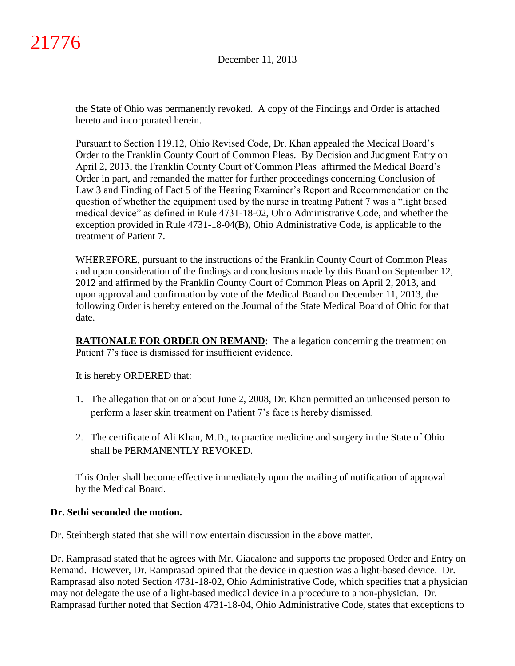the State of Ohio was permanently revoked. A copy of the Findings and Order is attached hereto and incorporated herein.

Pursuant to Section 119.12, Ohio Revised Code, Dr. Khan appealed the Medical Board's Order to the Franklin County Court of Common Pleas. By Decision and Judgment Entry on April 2, 2013, the Franklin County Court of Common Pleas affirmed the Medical Board's Order in part, and remanded the matter for further proceedings concerning Conclusion of Law 3 and Finding of Fact 5 of the Hearing Examiner's Report and Recommendation on the question of whether the equipment used by the nurse in treating Patient 7 was a "light based medical device" as defined in Rule 4731-18-02, Ohio Administrative Code, and whether the exception provided in Rule 4731-18-04(B), Ohio Administrative Code, is applicable to the treatment of Patient 7.

WHEREFORE, pursuant to the instructions of the Franklin County Court of Common Pleas and upon consideration of the findings and conclusions made by this Board on September 12, 2012 and affirmed by the Franklin County Court of Common Pleas on April 2, 2013, and upon approval and confirmation by vote of the Medical Board on December 11, 2013, the following Order is hereby entered on the Journal of the State Medical Board of Ohio for that date.

**RATIONALE FOR ORDER ON REMAND:** The allegation concerning the treatment on Patient 7's face is dismissed for insufficient evidence.

It is hereby ORDERED that:

- 1. The allegation that on or about June 2, 2008, Dr. Khan permitted an unlicensed person to perform a laser skin treatment on Patient 7's face is hereby dismissed.
- 2. The certificate of Ali Khan, M.D., to practice medicine and surgery in the State of Ohio shall be PERMANENTLY REVOKED.

This Order shall become effective immediately upon the mailing of notification of approval by the Medical Board.

# **Dr. Sethi seconded the motion.**

Dr. Steinbergh stated that she will now entertain discussion in the above matter.

Dr. Ramprasad stated that he agrees with Mr. Giacalone and supports the proposed Order and Entry on Remand. However, Dr. Ramprasad opined that the device in question was a light-based device. Dr. Ramprasad also noted Section 4731-18-02, Ohio Administrative Code, which specifies that a physician may not delegate the use of a light-based medical device in a procedure to a non-physician. Dr. Ramprasad further noted that Section 4731-18-04, Ohio Administrative Code, states that exceptions to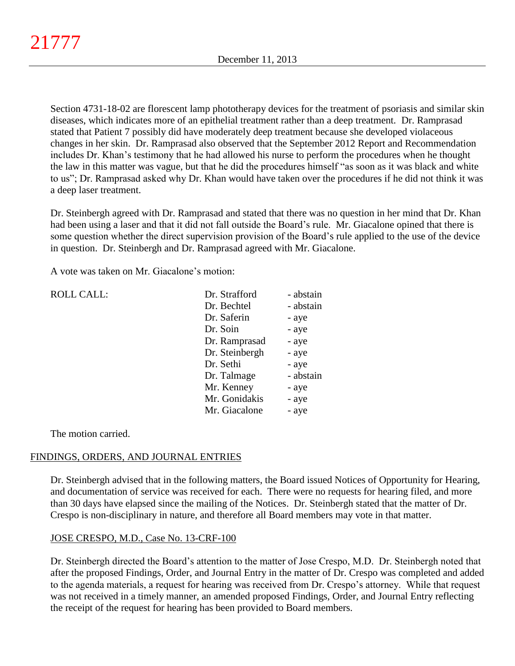Section 4731-18-02 are florescent lamp phototherapy devices for the treatment of psoriasis and similar skin diseases, which indicates more of an epithelial treatment rather than a deep treatment. Dr. Ramprasad stated that Patient 7 possibly did have moderately deep treatment because she developed violaceous changes in her skin. Dr. Ramprasad also observed that the September 2012 Report and Recommendation includes Dr. Khan's testimony that he had allowed his nurse to perform the procedures when he thought the law in this matter was vague, but that he did the procedures himself "as soon as it was black and white to us"; Dr. Ramprasad asked why Dr. Khan would have taken over the procedures if he did not think it was a deep laser treatment.

Dr. Steinbergh agreed with Dr. Ramprasad and stated that there was no question in her mind that Dr. Khan had been using a laser and that it did not fall outside the Board's rule. Mr. Giacalone opined that there is some question whether the direct supervision provision of the Board's rule applied to the use of the device in question. Dr. Steinbergh and Dr. Ramprasad agreed with Mr. Giacalone.

A vote was taken on Mr. Giacalone's motion:

| <b>ROLL CALL:</b> | Dr. Strafford  | - abstain |
|-------------------|----------------|-----------|
|                   | Dr. Bechtel    | - abstain |
|                   | Dr. Saferin    | - aye     |
|                   | Dr. Soin       | - aye     |
|                   | Dr. Ramprasad  | - aye     |
|                   | Dr. Steinbergh | - aye     |
|                   | Dr. Sethi      | - aye     |
|                   | Dr. Talmage    | - abstain |
|                   | Mr. Kenney     | - aye     |
|                   | Mr. Gonidakis  | - aye     |
|                   | Mr. Giacalone  | - aye     |
|                   |                |           |

The motion carried.

# FINDINGS, ORDERS, AND JOURNAL ENTRIES

Dr. Steinbergh advised that in the following matters, the Board issued Notices of Opportunity for Hearing, and documentation of service was received for each. There were no requests for hearing filed, and more than 30 days have elapsed since the mailing of the Notices. Dr. Steinbergh stated that the matter of Dr. Crespo is non-disciplinary in nature, and therefore all Board members may vote in that matter.

# JOSE CRESPO, M.D., Case No. 13-CRF-100

Dr. Steinbergh directed the Board's attention to the matter of Jose Crespo, M.D. Dr. Steinbergh noted that after the proposed Findings, Order, and Journal Entry in the matter of Dr. Crespo was completed and added to the agenda materials, a request for hearing was received from Dr. Crespo's attorney. While that request was not received in a timely manner, an amended proposed Findings, Order, and Journal Entry reflecting the receipt of the request for hearing has been provided to Board members.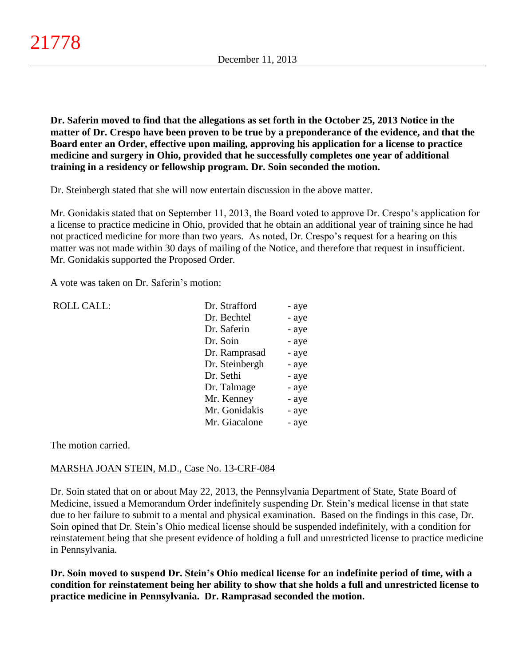**Dr. Saferin moved to find that the allegations as set forth in the October 25, 2013 Notice in the matter of Dr. Crespo have been proven to be true by a preponderance of the evidence, and that the Board enter an Order, effective upon mailing, approving his application for a license to practice medicine and surgery in Ohio, provided that he successfully completes one year of additional training in a residency or fellowship program. Dr. Soin seconded the motion.**

Dr. Steinbergh stated that she will now entertain discussion in the above matter.

Mr. Gonidakis stated that on September 11, 2013, the Board voted to approve Dr. Crespo's application for a license to practice medicine in Ohio, provided that he obtain an additional year of training since he had not practiced medicine for more than two years. As noted, Dr. Crespo's request for a hearing on this matter was not made within 30 days of mailing of the Notice, and therefore that request in insufficient. Mr. Gonidakis supported the Proposed Order.

A vote was taken on Dr. Saferin's motion:

| <b>ROLL CALL:</b> | Dr. Strafford  | - aye |
|-------------------|----------------|-------|
|                   | Dr. Bechtel    | - aye |
|                   | Dr. Saferin    | - aye |
|                   | Dr. Soin       | - aye |
|                   | Dr. Ramprasad  | - aye |
|                   | Dr. Steinbergh | - aye |
|                   | Dr. Sethi      | - aye |
|                   | Dr. Talmage    | - aye |
|                   | Mr. Kenney     | - aye |
|                   | Mr. Gonidakis  | - aye |
|                   | Mr. Giacalone  | - aye |
|                   |                |       |

The motion carried.

# MARSHA JOAN STEIN, M.D., Case No. 13-CRF-084

Dr. Soin stated that on or about May 22, 2013, the Pennsylvania Department of State, State Board of Medicine, issued a Memorandum Order indefinitely suspending Dr. Stein's medical license in that state due to her failure to submit to a mental and physical examination. Based on the findings in this case, Dr. Soin opined that Dr. Stein's Ohio medical license should be suspended indefinitely, with a condition for reinstatement being that she present evidence of holding a full and unrestricted license to practice medicine in Pennsylvania.

**Dr. Soin moved to suspend Dr. Stein's Ohio medical license for an indefinite period of time, with a condition for reinstatement being her ability to show that she holds a full and unrestricted license to practice medicine in Pennsylvania. Dr. Ramprasad seconded the motion.**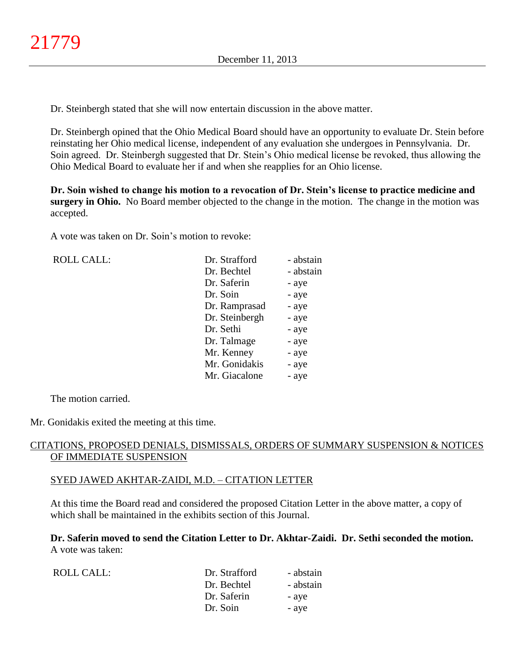Dr. Steinbergh stated that she will now entertain discussion in the above matter.

Dr. Steinbergh opined that the Ohio Medical Board should have an opportunity to evaluate Dr. Stein before reinstating her Ohio medical license, independent of any evaluation she undergoes in Pennsylvania. Dr. Soin agreed. Dr. Steinbergh suggested that Dr. Stein's Ohio medical license be revoked, thus allowing the Ohio Medical Board to evaluate her if and when she reapplies for an Ohio license.

**Dr. Soin wished to change his motion to a revocation of Dr. Stein's license to practice medicine and surgery in Ohio.** No Board member objected to the change in the motion. The change in the motion was accepted.

A vote was taken on Dr. Soin's motion to revoke:

ROLL CALL:

| Dr. Strafford  | - abstain |
|----------------|-----------|
| Dr. Bechtel    | - abstain |
| Dr. Saferin    | - aye     |
| Dr. Soin       | - aye     |
| Dr. Ramprasad  | - aye     |
| Dr. Steinbergh | - aye     |
| Dr. Sethi      | - aye     |
| Dr. Talmage    | - aye     |
| Mr. Kenney     | - aye     |
| Mr. Gonidakis  | - aye     |
| Mr. Giacalone  | - aye     |

The motion carried.

Mr. Gonidakis exited the meeting at this time.

### CITATIONS, PROPOSED DENIALS, DISMISSALS, ORDERS OF SUMMARY SUSPENSION & NOTICES OF IMMEDIATE SUSPENSION

### SYED JAWED AKHTAR-ZAIDI, M.D. – CITATION LETTER

At this time the Board read and considered the proposed Citation Letter in the above matter, a copy of which shall be maintained in the exhibits section of this Journal.

**Dr. Saferin moved to send the Citation Letter to Dr. Akhtar-Zaidi. Dr. Sethi seconded the motion.** A vote was taken:

| ROLL CALL: | Dr. Strafford | - abstain |
|------------|---------------|-----------|
|            | Dr. Bechtel   | - abstain |
|            | Dr. Saferin   | - aye     |
|            | Dr. Soin      | - aye     |
|            |               |           |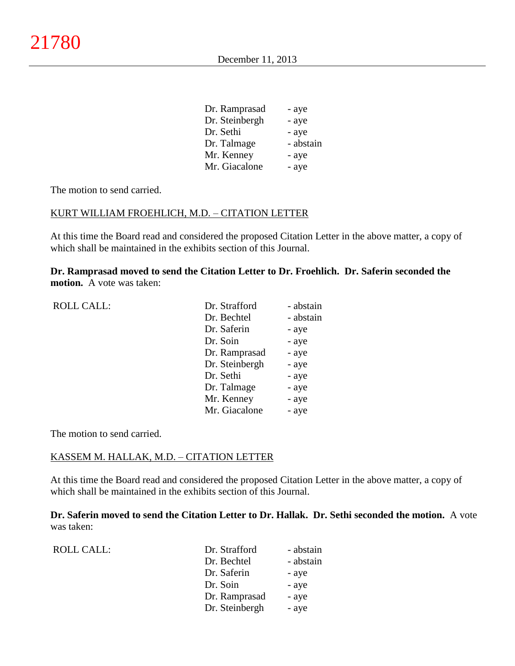| Dr. Ramprasad  | - aye     |
|----------------|-----------|
| Dr. Steinbergh | - aye     |
| Dr. Sethi      | - aye     |
| Dr. Talmage    | - abstain |
| Mr. Kenney     | - aye     |
| Mr. Giacalone  | - aye     |

The motion to send carried.

#### KURT WILLIAM FROEHLICH, M.D. – CITATION LETTER

At this time the Board read and considered the proposed Citation Letter in the above matter, a copy of which shall be maintained in the exhibits section of this Journal.

**Dr. Ramprasad moved to send the Citation Letter to Dr. Froehlich. Dr. Saferin seconded the motion.** A vote was taken:

| <b>ROLL CALL:</b> | Dr. Strafford  | - abstain |
|-------------------|----------------|-----------|
|                   | Dr. Bechtel    | - abstain |
|                   | Dr. Saferin    | - aye     |
|                   | Dr. Soin       | - aye     |
|                   | Dr. Ramprasad  | - aye     |
|                   | Dr. Steinbergh | - aye     |
|                   | Dr. Sethi      | - aye     |
|                   | Dr. Talmage    | - aye     |
|                   | Mr. Kenney     | - aye     |
|                   | Mr. Giacalone  | - aye     |
|                   |                |           |

The motion to send carried.

#### KASSEM M. HALLAK, M.D. – CITATION LETTER

At this time the Board read and considered the proposed Citation Letter in the above matter, a copy of which shall be maintained in the exhibits section of this Journal.

**Dr. Saferin moved to send the Citation Letter to Dr. Hallak. Dr. Sethi seconded the motion.** A vote was taken:

| <b>ROLL CALL:</b> | Dr. Strafford  | - abstain |
|-------------------|----------------|-----------|
|                   | Dr. Bechtel    | - abstain |
|                   | Dr. Saferin    | - aye     |
|                   | Dr. Soin       | - aye     |
|                   | Dr. Ramprasad  | - aye     |
|                   | Dr. Steinbergh | - aye     |
|                   |                |           |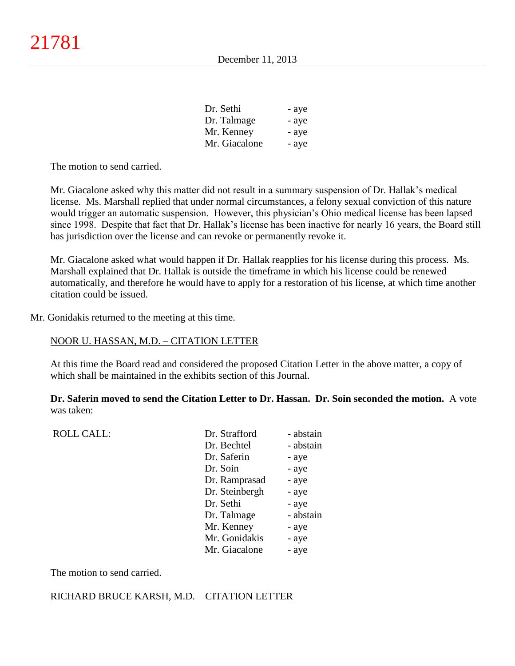| Dr. Sethi     | - aye |
|---------------|-------|
| Dr. Talmage   | - aye |
| Mr. Kenney    | - aye |
| Mr. Giacalone | - aye |

The motion to send carried.

Mr. Giacalone asked why this matter did not result in a summary suspension of Dr. Hallak's medical license. Ms. Marshall replied that under normal circumstances, a felony sexual conviction of this nature would trigger an automatic suspension. However, this physician's Ohio medical license has been lapsed since 1998. Despite that fact that Dr. Hallak's license has been inactive for nearly 16 years, the Board still has jurisdiction over the license and can revoke or permanently revoke it.

Mr. Giacalone asked what would happen if Dr. Hallak reapplies for his license during this process. Ms. Marshall explained that Dr. Hallak is outside the timeframe in which his license could be renewed automatically, and therefore he would have to apply for a restoration of his license, at which time another citation could be issued.

Mr. Gonidakis returned to the meeting at this time.

### NOOR U. HASSAN, M.D. – CITATION LETTER

At this time the Board read and considered the proposed Citation Letter in the above matter, a copy of which shall be maintained in the exhibits section of this Journal.

**Dr. Saferin moved to send the Citation Letter to Dr. Hassan. Dr. Soin seconded the motion.** A vote was taken:

| <b>ROLL CALL:</b> | Dr. Strafford  | - abstain |
|-------------------|----------------|-----------|
|                   | Dr. Bechtel    | - abstain |
|                   | Dr. Saferin    | - aye     |
|                   | Dr. Soin       | - aye     |
|                   | Dr. Ramprasad  | - aye     |
|                   | Dr. Steinbergh | - aye     |
|                   | Dr. Sethi      | - aye     |
|                   | Dr. Talmage    | - abstain |
|                   | Mr. Kenney     | - aye     |
|                   | Mr. Gonidakis  | - aye     |
|                   | Mr. Giacalone  | - aye     |
|                   |                |           |

The motion to send carried.

### RICHARD BRUCE KARSH, M.D. – CITATION LETTER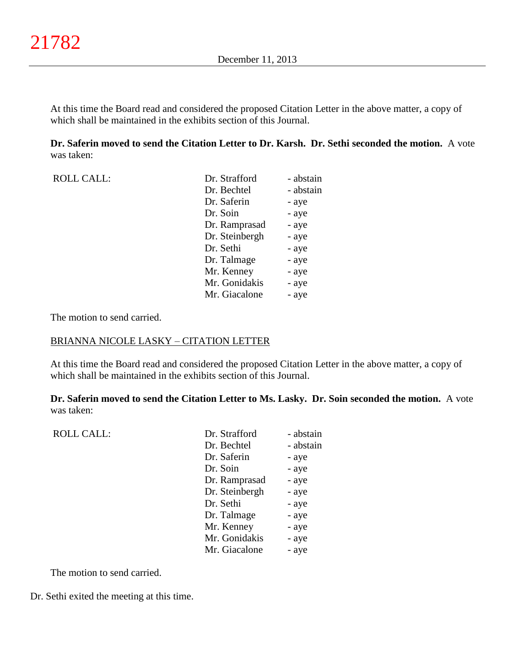At this time the Board read and considered the proposed Citation Letter in the above matter, a copy of which shall be maintained in the exhibits section of this Journal.

**Dr. Saferin moved to send the Citation Letter to Dr. Karsh. Dr. Sethi seconded the motion.** A vote was taken:

| <b>ROLL CALL:</b> | Dr. Strafford  | - abstain |
|-------------------|----------------|-----------|
|                   | Dr. Bechtel    | - abstain |
|                   | Dr. Saferin    | - aye     |
|                   | Dr. Soin       | - aye     |
|                   | Dr. Ramprasad  | - aye     |
|                   | Dr. Steinbergh | - aye     |
|                   | Dr. Sethi      | - aye     |
|                   | Dr. Talmage    | - aye     |
|                   | Mr. Kenney     | - aye     |
|                   | Mr. Gonidakis  | - aye     |
|                   | Mr. Giacalone  | - aye     |
|                   |                |           |

The motion to send carried.

#### BRIANNA NICOLE LASKY – CITATION LETTER

At this time the Board read and considered the proposed Citation Letter in the above matter, a copy of which shall be maintained in the exhibits section of this Journal.

**Dr. Saferin moved to send the Citation Letter to Ms. Lasky. Dr. Soin seconded the motion.** A vote was taken:

| <b>ROLL CALL:</b> | Dr. Strafford  | - abstain |
|-------------------|----------------|-----------|
|                   | Dr. Bechtel    | - abstain |
|                   | Dr. Saferin    | - aye     |
|                   | Dr. Soin       | - aye     |
|                   | Dr. Ramprasad  | - aye     |
|                   | Dr. Steinbergh | - aye     |
|                   | Dr. Sethi      | - aye     |
|                   | Dr. Talmage    | - aye     |
|                   | Mr. Kenney     | - aye     |
|                   | Mr. Gonidakis  | - aye     |
|                   | Mr. Giacalone  | - aye     |
|                   |                |           |

The motion to send carried.

Dr. Sethi exited the meeting at this time.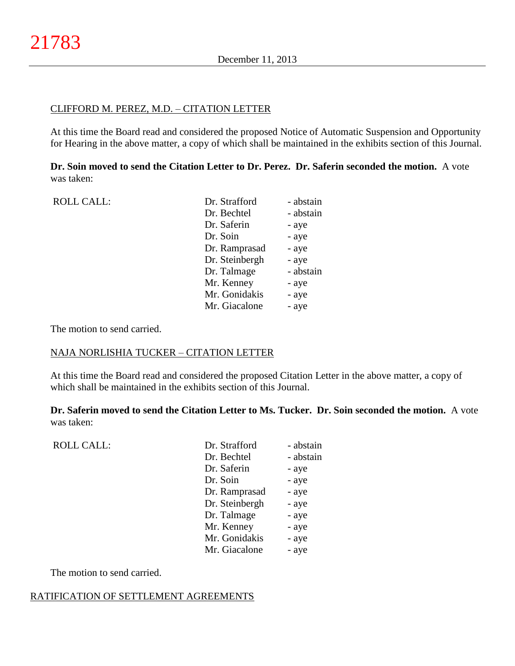#### CLIFFORD M. PEREZ, M.D. – CITATION LETTER

At this time the Board read and considered the proposed Notice of Automatic Suspension and Opportunity for Hearing in the above matter, a copy of which shall be maintained in the exhibits section of this Journal.

**Dr. Soin moved to send the Citation Letter to Dr. Perez. Dr. Saferin seconded the motion.** A vote was taken:

| <b>ROLL CALL:</b> | Dr. Strafford  | - abstain |
|-------------------|----------------|-----------|
|                   | Dr. Bechtel    | - abstain |
|                   | Dr. Saferin    | - aye     |
|                   | Dr. Soin       | - aye     |
|                   | Dr. Ramprasad  | - aye     |
|                   | Dr. Steinbergh | - aye     |
|                   | Dr. Talmage    | - abstain |
|                   | Mr. Kenney     | - aye     |
|                   | Mr. Gonidakis  | - aye     |
|                   | Mr. Giacalone  | - aye     |
|                   |                |           |

The motion to send carried.

# NAJA NORLISHIA TUCKER – CITATION LETTER

At this time the Board read and considered the proposed Citation Letter in the above matter, a copy of which shall be maintained in the exhibits section of this Journal.

**Dr. Saferin moved to send the Citation Letter to Ms. Tucker. Dr. Soin seconded the motion.** A vote was taken:

| <b>ROLL CALL:</b> | Dr. Strafford  | - abstain |
|-------------------|----------------|-----------|
|                   | Dr. Bechtel    | - abstain |
|                   | Dr. Saferin    | - aye     |
|                   | Dr. Soin       | - aye     |
|                   | Dr. Ramprasad  | - aye     |
|                   | Dr. Steinbergh | - aye     |
|                   | Dr. Talmage    | - aye     |
|                   | Mr. Kenney     | - aye     |
|                   | Mr. Gonidakis  | - aye     |
|                   | Mr. Giacalone  | - aye     |
|                   |                |           |

The motion to send carried.

### RATIFICATION OF SETTLEMENT AGREEMENTS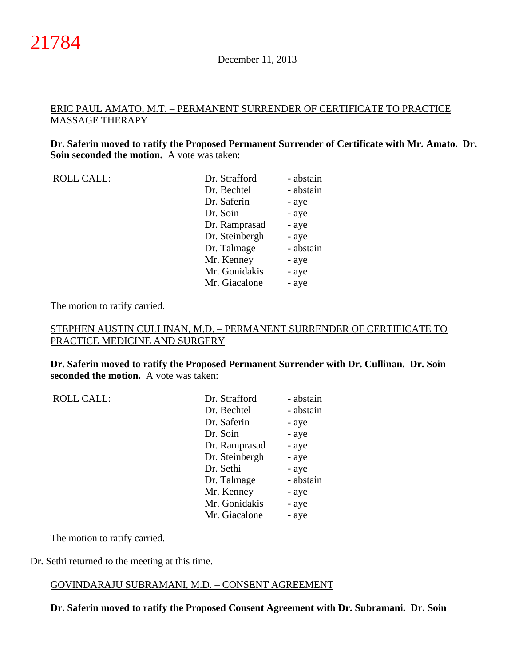### ERIC PAUL AMATO, M.T. – PERMANENT SURRENDER OF CERTIFICATE TO PRACTICE MASSAGE THERAPY

**Dr. Saferin moved to ratify the Proposed Permanent Surrender of Certificate with Mr. Amato. Dr. Soin seconded the motion.** A vote was taken:

| <b>ROLL CALL:</b> |  |
|-------------------|--|
|-------------------|--|

| <b>ROLL CALL:</b> | Dr. Strafford  | - abstain |
|-------------------|----------------|-----------|
|                   | Dr. Bechtel    | - abstain |
|                   | Dr. Saferin    | - aye     |
|                   | Dr. Soin       | - aye     |
|                   | Dr. Ramprasad  | - aye     |
|                   | Dr. Steinbergh | - aye     |
|                   | Dr. Talmage    | - abstain |
|                   | Mr. Kenney     | - aye     |
|                   | Mr. Gonidakis  | - aye     |
|                   | Mr. Giacalone  | - aye     |
|                   |                |           |

The motion to ratify carried.

### STEPHEN AUSTIN CULLINAN, M.D. – PERMANENT SURRENDER OF CERTIFICATE TO PRACTICE MEDICINE AND SURGERY

**Dr. Saferin moved to ratify the Proposed Permanent Surrender with Dr. Cullinan. Dr. Soin seconded the motion.** A vote was taken:

ROLL CALL:

| Dr. Strafford  | - abstain |
|----------------|-----------|
| Dr. Bechtel    | - abstain |
| Dr. Saferin    | - aye     |
| Dr. Soin       | - aye     |
| Dr. Ramprasad  | - aye     |
| Dr. Steinbergh | - aye     |
| Dr. Sethi      | - aye     |
| Dr. Talmage    | - abstain |
| Mr. Kenney     | - aye     |
| Mr. Gonidakis  | - aye     |
| Mr. Giacalone  | - aye     |
|                |           |

The motion to ratify carried.

Dr. Sethi returned to the meeting at this time.

# GOVINDARAJU SUBRAMANI, M.D. – CONSENT AGREEMENT

**Dr. Saferin moved to ratify the Proposed Consent Agreement with Dr. Subramani. Dr. Soin**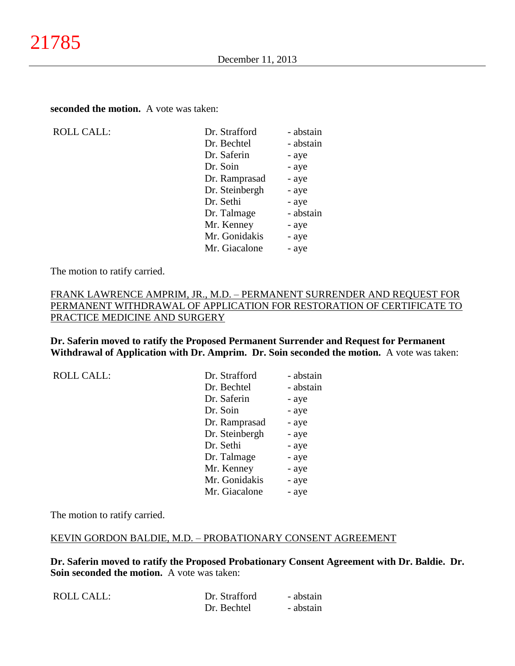**seconded the motion.** A vote was taken:

ROLL CALL:

| Dr. Strafford  | - abstain |
|----------------|-----------|
| Dr. Bechtel    | - abstain |
| Dr. Saferin    | - aye     |
| Dr. Soin       | - aye     |
| Dr. Ramprasad  | - aye     |
| Dr. Steinbergh | - aye     |
| Dr. Sethi      | - aye     |
| Dr. Talmage    | - abstain |
| Mr. Kenney     | - aye     |
| Mr. Gonidakis  | - aye     |
| Mr. Giacalone  | - aye     |
|                |           |

The motion to ratify carried.

### FRANK LAWRENCE AMPRIM, JR., M.D. – PERMANENT SURRENDER AND REQUEST FOR PERMANENT WITHDRAWAL OF APPLICATION FOR RESTORATION OF CERTIFICATE TO PRACTICE MEDICINE AND SURGERY

**Dr. Saferin moved to ratify the Proposed Permanent Surrender and Request for Permanent Withdrawal of Application with Dr. Amprim. Dr. Soin seconded the motion.** A vote was taken:

| <b>ROLL CALL:</b> | Dr. Strafford  | - abstain |
|-------------------|----------------|-----------|
|                   | Dr. Bechtel    | - abstain |
|                   | Dr. Saferin    | - aye     |
|                   | Dr. Soin       | - aye     |
|                   | Dr. Ramprasad  | - aye     |
|                   | Dr. Steinbergh | - aye     |
|                   | Dr. Sethi      | - aye     |
|                   | Dr. Talmage    | - aye     |
|                   | Mr. Kenney     | - aye     |
|                   | Mr. Gonidakis  | - aye     |
|                   | Mr. Giacalone  | - aye     |

The motion to ratify carried.

### KEVIN GORDON BALDIE, M.D. – PROBATIONARY CONSENT AGREEMENT

**Dr. Saferin moved to ratify the Proposed Probationary Consent Agreement with Dr. Baldie. Dr. Soin seconded the motion.** A vote was taken:

| ROLL CALL: | Dr. Strafford | - abstain |
|------------|---------------|-----------|
|            | Dr. Bechtel   | - abstain |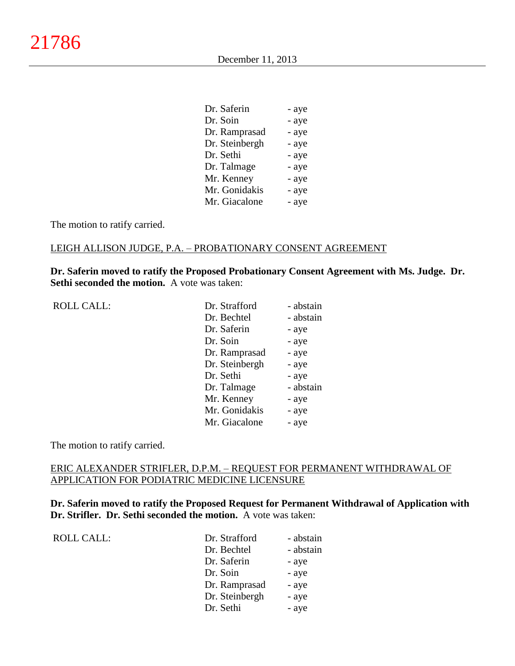| - aye |
|-------|
| - aye |
| - aye |
| - aye |
| - aye |
| - aye |
| - aye |
| - aye |
| - aye |
|       |

The motion to ratify carried.

# LEIGH ALLISON JUDGE, P.A. – PROBATIONARY CONSENT AGREEMENT

**Dr. Saferin moved to ratify the Proposed Probationary Consent Agreement with Ms. Judge. Dr. Sethi seconded the motion.** A vote was taken:

ROLL CALL:

| Dr. Strafford  | - abstain |
|----------------|-----------|
| Dr. Bechtel    | - abstain |
| Dr. Saferin    | - aye     |
| Dr. Soin       | - aye     |
| Dr. Ramprasad  | - aye     |
| Dr. Steinbergh | - aye     |
| Dr. Sethi      | - aye     |
| Dr. Talmage    | - abstain |
| Mr. Kenney     | - aye     |
| Mr. Gonidakis  | - aye     |
| Mr. Giacalone  | - aye     |

The motion to ratify carried.

### ERIC ALEXANDER STRIFLER, D.P.M. – REQUEST FOR PERMANENT WITHDRAWAL OF APPLICATION FOR PODIATRIC MEDICINE LICENSURE

**Dr. Saferin moved to ratify the Proposed Request for Permanent Withdrawal of Application with Dr. Strifler. Dr. Sethi seconded the motion.** A vote was taken:

ROLL CALL:

| Dr. Strafford  | - abstain |
|----------------|-----------|
| Dr. Bechtel    | - abstain |
| Dr. Saferin    | - aye     |
| Dr. Soin       | - aye     |
| Dr. Ramprasad  | - aye     |
| Dr. Steinbergh | - aye     |
| Dr. Sethi      | - aye     |
|                |           |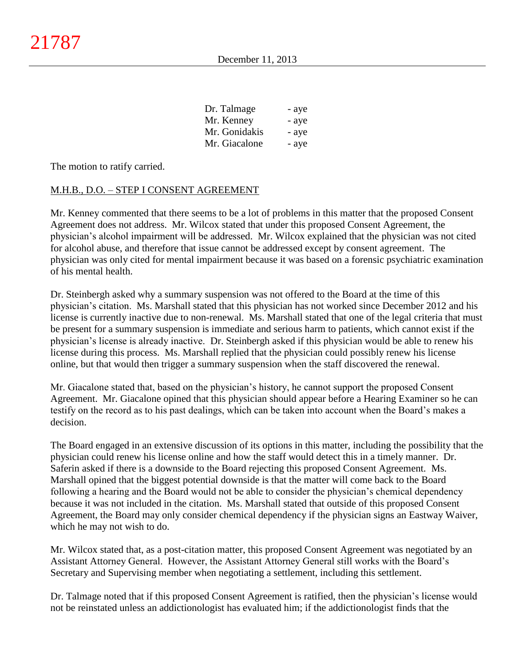| Dr. Talmage   | - aye |
|---------------|-------|
| Mr. Kenney    | - aye |
| Mr. Gonidakis | - aye |
| Mr. Giacalone | - aye |

The motion to ratify carried.

### M.H.B., D.O. – STEP I CONSENT AGREEMENT

Mr. Kenney commented that there seems to be a lot of problems in this matter that the proposed Consent Agreement does not address. Mr. Wilcox stated that under this proposed Consent Agreement, the physician's alcohol impairment will be addressed. Mr. Wilcox explained that the physician was not cited for alcohol abuse, and therefore that issue cannot be addressed except by consent agreement. The physician was only cited for mental impairment because it was based on a forensic psychiatric examination of his mental health.

Dr. Steinbergh asked why a summary suspension was not offered to the Board at the time of this physician's citation. Ms. Marshall stated that this physician has not worked since December 2012 and his license is currently inactive due to non-renewal. Ms. Marshall stated that one of the legal criteria that must be present for a summary suspension is immediate and serious harm to patients, which cannot exist if the physician's license is already inactive. Dr. Steinbergh asked if this physician would be able to renew his license during this process. Ms. Marshall replied that the physician could possibly renew his license online, but that would then trigger a summary suspension when the staff discovered the renewal.

Mr. Giacalone stated that, based on the physician's history, he cannot support the proposed Consent Agreement. Mr. Giacalone opined that this physician should appear before a Hearing Examiner so he can testify on the record as to his past dealings, which can be taken into account when the Board's makes a decision.

The Board engaged in an extensive discussion of its options in this matter, including the possibility that the physician could renew his license online and how the staff would detect this in a timely manner. Dr. Saferin asked if there is a downside to the Board rejecting this proposed Consent Agreement. Ms. Marshall opined that the biggest potential downside is that the matter will come back to the Board following a hearing and the Board would not be able to consider the physician's chemical dependency because it was not included in the citation. Ms. Marshall stated that outside of this proposed Consent Agreement, the Board may only consider chemical dependency if the physician signs an Eastway Waiver, which he may not wish to do.

Mr. Wilcox stated that, as a post-citation matter, this proposed Consent Agreement was negotiated by an Assistant Attorney General. However, the Assistant Attorney General still works with the Board's Secretary and Supervising member when negotiating a settlement, including this settlement.

Dr. Talmage noted that if this proposed Consent Agreement is ratified, then the physician's license would not be reinstated unless an addictionologist has evaluated him; if the addictionologist finds that the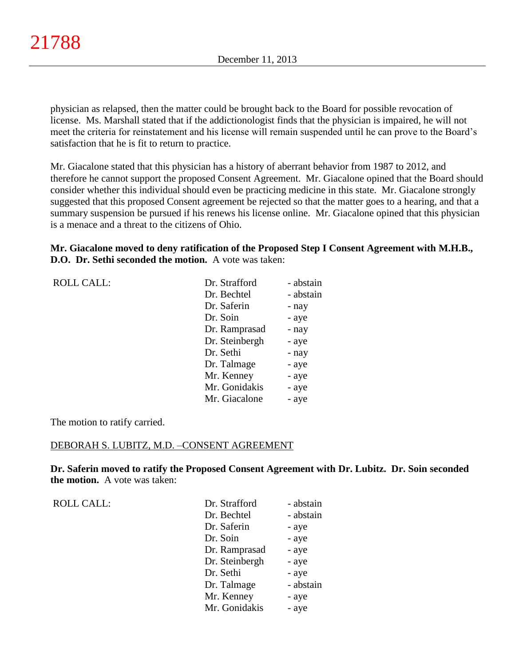physician as relapsed, then the matter could be brought back to the Board for possible revocation of license. Ms. Marshall stated that if the addictionologist finds that the physician is impaired, he will not meet the criteria for reinstatement and his license will remain suspended until he can prove to the Board's satisfaction that he is fit to return to practice.

Mr. Giacalone stated that this physician has a history of aberrant behavior from 1987 to 2012, and therefore he cannot support the proposed Consent Agreement. Mr. Giacalone opined that the Board should consider whether this individual should even be practicing medicine in this state. Mr. Giacalone strongly suggested that this proposed Consent agreement be rejected so that the matter goes to a hearing, and that a summary suspension be pursued if his renews his license online. Mr. Giacalone opined that this physician is a menace and a threat to the citizens of Ohio.

### **Mr. Giacalone moved to deny ratification of the Proposed Step I Consent Agreement with M.H.B., D.O. Dr. Sethi seconded the motion.** A vote was taken:

|  | <b>ROLL CALL:</b> |
|--|-------------------|
|--|-------------------|

| <b>ROLL CALL:</b> | Dr. Strafford  | - abstain |
|-------------------|----------------|-----------|
|                   | Dr. Bechtel    | - abstain |
|                   | Dr. Saferin    | - nay     |
|                   | Dr. Soin       | - aye     |
|                   | Dr. Ramprasad  | - nay     |
|                   | Dr. Steinbergh | - aye     |
|                   | Dr. Sethi      | - nay     |
|                   | Dr. Talmage    | - aye     |
|                   | Mr. Kenney     | - aye     |
|                   | Mr. Gonidakis  | - aye     |
|                   | Mr. Giacalone  | - aye     |
|                   |                |           |

The motion to ratify carried.

#### DEBORAH S. LUBITZ, M.D. –CONSENT AGREEMENT

**Dr. Saferin moved to ratify the Proposed Consent Agreement with Dr. Lubitz. Dr. Soin seconded the motion.** A vote was taken:

ROLL CALL:

| Dr. Strafford  | - abstain |
|----------------|-----------|
| Dr. Bechtel    | - abstain |
| Dr. Saferin    | - aye     |
| Dr. Soin       | - aye     |
| Dr. Ramprasad  | - aye     |
| Dr. Steinbergh | - aye     |
| Dr. Sethi      | - aye     |
| Dr. Talmage    | - abstain |
| Mr. Kenney     | - aye     |
| Mr. Gonidakis  | - aye     |
|                |           |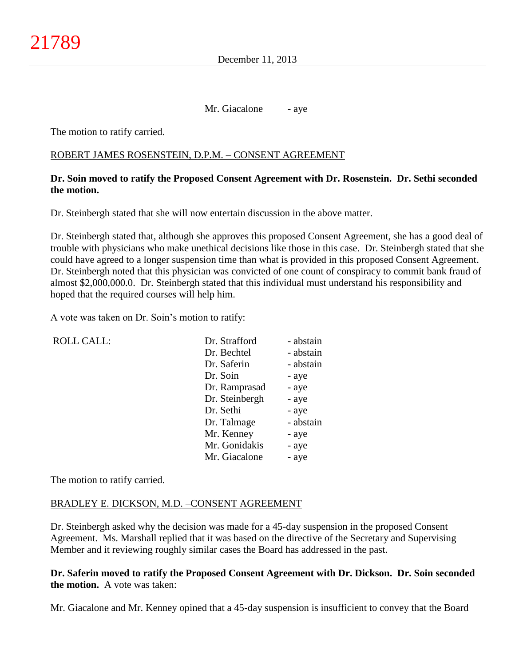Mr. Giacalone - aye

The motion to ratify carried.

### ROBERT JAMES ROSENSTEIN, D.P.M. – CONSENT AGREEMENT

### **Dr. Soin moved to ratify the Proposed Consent Agreement with Dr. Rosenstein. Dr. Sethi seconded the motion.**

Dr. Steinbergh stated that she will now entertain discussion in the above matter.

Dr. Steinbergh stated that, although she approves this proposed Consent Agreement, she has a good deal of trouble with physicians who make unethical decisions like those in this case. Dr. Steinbergh stated that she could have agreed to a longer suspension time than what is provided in this proposed Consent Agreement. Dr. Steinbergh noted that this physician was convicted of one count of conspiracy to commit bank fraud of almost \$2,000,000.0. Dr. Steinbergh stated that this individual must understand his responsibility and hoped that the required courses will help him.

A vote was taken on Dr. Soin's motion to ratify:

| <b>ROLL CALL:</b> | Dr. Strafford  | - abstain |
|-------------------|----------------|-----------|
|                   | Dr. Bechtel    | - abstain |
|                   | Dr. Saferin    | - abstain |
|                   | Dr. Soin       | - aye     |
|                   | Dr. Ramprasad  | - aye     |
|                   | Dr. Steinbergh | - aye     |
|                   | Dr. Sethi      | - aye     |
|                   | Dr. Talmage    | - abstain |
|                   | Mr. Kenney     | - aye     |
|                   | Mr. Gonidakis  | - aye     |
|                   | Mr. Giacalone  | - aye     |
|                   |                |           |

The motion to ratify carried.

### BRADLEY E. DICKSON, M.D. –CONSENT AGREEMENT

Dr. Steinbergh asked why the decision was made for a 45-day suspension in the proposed Consent Agreement. Ms. Marshall replied that it was based on the directive of the Secretary and Supervising Member and it reviewing roughly similar cases the Board has addressed in the past.

### **Dr. Saferin moved to ratify the Proposed Consent Agreement with Dr. Dickson. Dr. Soin seconded the motion.** A vote was taken:

Mr. Giacalone and Mr. Kenney opined that a 45-day suspension is insufficient to convey that the Board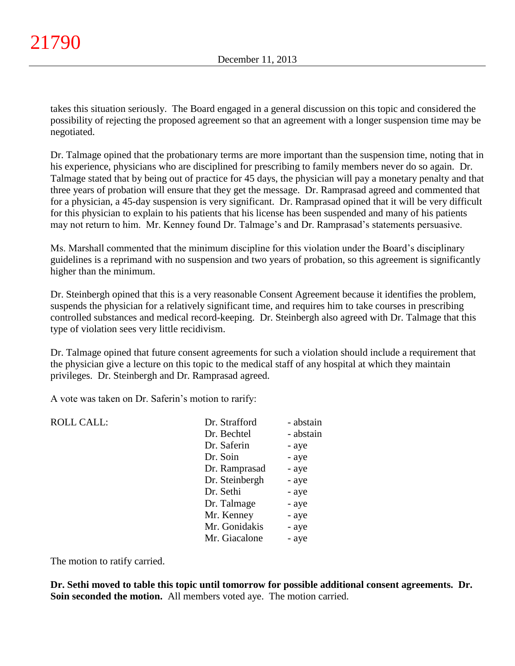takes this situation seriously. The Board engaged in a general discussion on this topic and considered the possibility of rejecting the proposed agreement so that an agreement with a longer suspension time may be negotiated.

Dr. Talmage opined that the probationary terms are more important than the suspension time, noting that in his experience, physicians who are disciplined for prescribing to family members never do so again. Dr. Talmage stated that by being out of practice for 45 days, the physician will pay a monetary penalty and that three years of probation will ensure that they get the message. Dr. Ramprasad agreed and commented that for a physician, a 45-day suspension is very significant. Dr. Ramprasad opined that it will be very difficult for this physician to explain to his patients that his license has been suspended and many of his patients may not return to him. Mr. Kenney found Dr. Talmage's and Dr. Ramprasad's statements persuasive.

Ms. Marshall commented that the minimum discipline for this violation under the Board's disciplinary guidelines is a reprimand with no suspension and two years of probation, so this agreement is significantly higher than the minimum.

Dr. Steinbergh opined that this is a very reasonable Consent Agreement because it identifies the problem, suspends the physician for a relatively significant time, and requires him to take courses in prescribing controlled substances and medical record-keeping. Dr. Steinbergh also agreed with Dr. Talmage that this type of violation sees very little recidivism.

Dr. Talmage opined that future consent agreements for such a violation should include a requirement that the physician give a lecture on this topic to the medical staff of any hospital at which they maintain privileges. Dr. Steinbergh and Dr. Ramprasad agreed.

A vote was taken on Dr. Saferin's motion to rarify:

| <b>ROLL CALL:</b> | Dr. Strafford  | - abstain |
|-------------------|----------------|-----------|
|                   | Dr. Bechtel    | - abstain |
|                   | Dr. Saferin    | - aye     |
|                   | Dr. Soin       | - aye     |
|                   | Dr. Ramprasad  | - aye     |
|                   | Dr. Steinbergh | - aye     |
|                   | Dr. Sethi      | - aye     |
|                   | Dr. Talmage    | - aye     |
|                   | Mr. Kenney     | - aye     |
|                   | Mr. Gonidakis  | - aye     |
|                   | Mr. Giacalone  | - aye     |
|                   |                |           |

The motion to ratify carried.

**Dr. Sethi moved to table this topic until tomorrow for possible additional consent agreements. Dr. Soin seconded the motion.** All members voted aye. The motion carried.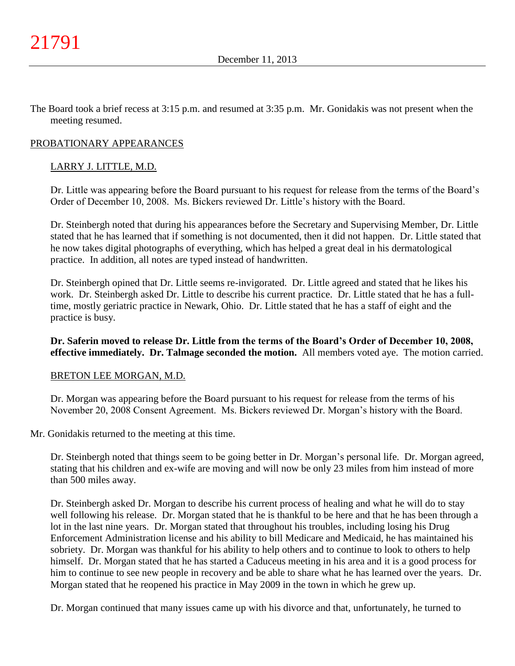The Board took a brief recess at 3:15 p.m. and resumed at 3:35 p.m. Mr. Gonidakis was not present when the meeting resumed.

#### PROBATIONARY APPEARANCES

### LARRY J. LITTLE, M.D.

Dr. Little was appearing before the Board pursuant to his request for release from the terms of the Board's Order of December 10, 2008. Ms. Bickers reviewed Dr. Little's history with the Board.

Dr. Steinbergh noted that during his appearances before the Secretary and Supervising Member, Dr. Little stated that he has learned that if something is not documented, then it did not happen. Dr. Little stated that he now takes digital photographs of everything, which has helped a great deal in his dermatological practice. In addition, all notes are typed instead of handwritten.

Dr. Steinbergh opined that Dr. Little seems re-invigorated. Dr. Little agreed and stated that he likes his work. Dr. Steinbergh asked Dr. Little to describe his current practice. Dr. Little stated that he has a fulltime, mostly geriatric practice in Newark, Ohio. Dr. Little stated that he has a staff of eight and the practice is busy.

### **Dr. Saferin moved to release Dr. Little from the terms of the Board's Order of December 10, 2008, effective immediately. Dr. Talmage seconded the motion.** All members voted aye. The motion carried.

#### BRETON LEE MORGAN, M.D.

Dr. Morgan was appearing before the Board pursuant to his request for release from the terms of his November 20, 2008 Consent Agreement. Ms. Bickers reviewed Dr. Morgan's history with the Board.

Mr. Gonidakis returned to the meeting at this time.

Dr. Steinbergh noted that things seem to be going better in Dr. Morgan's personal life. Dr. Morgan agreed, stating that his children and ex-wife are moving and will now be only 23 miles from him instead of more than 500 miles away.

Dr. Steinbergh asked Dr. Morgan to describe his current process of healing and what he will do to stay well following his release. Dr. Morgan stated that he is thankful to be here and that he has been through a lot in the last nine years. Dr. Morgan stated that throughout his troubles, including losing his Drug Enforcement Administration license and his ability to bill Medicare and Medicaid, he has maintained his sobriety. Dr. Morgan was thankful for his ability to help others and to continue to look to others to help himself. Dr. Morgan stated that he has started a Caduceus meeting in his area and it is a good process for him to continue to see new people in recovery and be able to share what he has learned over the years. Dr. Morgan stated that he reopened his practice in May 2009 in the town in which he grew up.

Dr. Morgan continued that many issues came up with his divorce and that, unfortunately, he turned to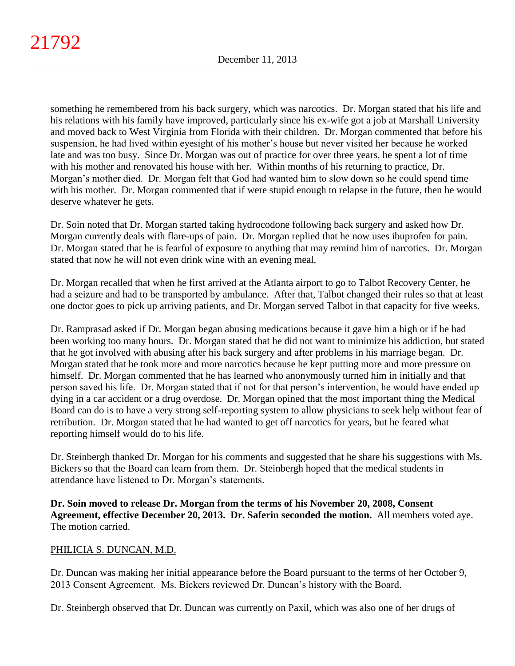something he remembered from his back surgery, which was narcotics. Dr. Morgan stated that his life and his relations with his family have improved, particularly since his ex-wife got a job at Marshall University and moved back to West Virginia from Florida with their children. Dr. Morgan commented that before his suspension, he had lived within eyesight of his mother's house but never visited her because he worked late and was too busy. Since Dr. Morgan was out of practice for over three years, he spent a lot of time with his mother and renovated his house with her. Within months of his returning to practice, Dr. Morgan's mother died. Dr. Morgan felt that God had wanted him to slow down so he could spend time with his mother. Dr. Morgan commented that if were stupid enough to relapse in the future, then he would deserve whatever he gets.

Dr. Soin noted that Dr. Morgan started taking hydrocodone following back surgery and asked how Dr. Morgan currently deals with flare-ups of pain. Dr. Morgan replied that he now uses ibuprofen for pain. Dr. Morgan stated that he is fearful of exposure to anything that may remind him of narcotics. Dr. Morgan stated that now he will not even drink wine with an evening meal.

Dr. Morgan recalled that when he first arrived at the Atlanta airport to go to Talbot Recovery Center, he had a seizure and had to be transported by ambulance. After that, Talbot changed their rules so that at least one doctor goes to pick up arriving patients, and Dr. Morgan served Talbot in that capacity for five weeks.

Dr. Ramprasad asked if Dr. Morgan began abusing medications because it gave him a high or if he had been working too many hours. Dr. Morgan stated that he did not want to minimize his addiction, but stated that he got involved with abusing after his back surgery and after problems in his marriage began. Dr. Morgan stated that he took more and more narcotics because he kept putting more and more pressure on himself. Dr. Morgan commented that he has learned who anonymously turned him in initially and that person saved his life. Dr. Morgan stated that if not for that person's intervention, he would have ended up dying in a car accident or a drug overdose. Dr. Morgan opined that the most important thing the Medical Board can do is to have a very strong self-reporting system to allow physicians to seek help without fear of retribution. Dr. Morgan stated that he had wanted to get off narcotics for years, but he feared what reporting himself would do to his life.

Dr. Steinbergh thanked Dr. Morgan for his comments and suggested that he share his suggestions with Ms. Bickers so that the Board can learn from them. Dr. Steinbergh hoped that the medical students in attendance have listened to Dr. Morgan's statements.

**Dr. Soin moved to release Dr. Morgan from the terms of his November 20, 2008, Consent Agreement, effective December 20, 2013. Dr. Saferin seconded the motion.** All members voted aye. The motion carried.

# PHILICIA S. DUNCAN, M.D.

Dr. Duncan was making her initial appearance before the Board pursuant to the terms of her October 9, 2013 Consent Agreement. Ms. Bickers reviewed Dr. Duncan's history with the Board.

Dr. Steinbergh observed that Dr. Duncan was currently on Paxil, which was also one of her drugs of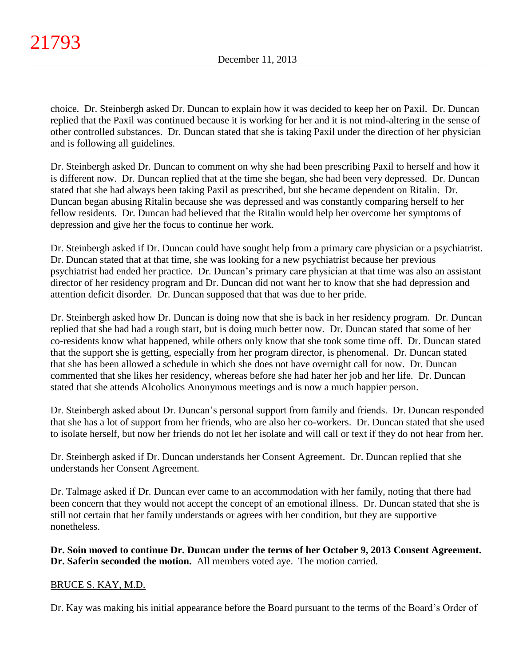choice. Dr. Steinbergh asked Dr. Duncan to explain how it was decided to keep her on Paxil. Dr. Duncan replied that the Paxil was continued because it is working for her and it is not mind-altering in the sense of other controlled substances. Dr. Duncan stated that she is taking Paxil under the direction of her physician and is following all guidelines.

Dr. Steinbergh asked Dr. Duncan to comment on why she had been prescribing Paxil to herself and how it is different now. Dr. Duncan replied that at the time she began, she had been very depressed. Dr. Duncan stated that she had always been taking Paxil as prescribed, but she became dependent on Ritalin. Dr. Duncan began abusing Ritalin because she was depressed and was constantly comparing herself to her fellow residents. Dr. Duncan had believed that the Ritalin would help her overcome her symptoms of depression and give her the focus to continue her work.

Dr. Steinbergh asked if Dr. Duncan could have sought help from a primary care physician or a psychiatrist. Dr. Duncan stated that at that time, she was looking for a new psychiatrist because her previous psychiatrist had ended her practice. Dr. Duncan's primary care physician at that time was also an assistant director of her residency program and Dr. Duncan did not want her to know that she had depression and attention deficit disorder. Dr. Duncan supposed that that was due to her pride.

Dr. Steinbergh asked how Dr. Duncan is doing now that she is back in her residency program. Dr. Duncan replied that she had had a rough start, but is doing much better now. Dr. Duncan stated that some of her co-residents know what happened, while others only know that she took some time off. Dr. Duncan stated that the support she is getting, especially from her program director, is phenomenal. Dr. Duncan stated that she has been allowed a schedule in which she does not have overnight call for now. Dr. Duncan commented that she likes her residency, whereas before she had hater her job and her life. Dr. Duncan stated that she attends Alcoholics Anonymous meetings and is now a much happier person.

Dr. Steinbergh asked about Dr. Duncan's personal support from family and friends. Dr. Duncan responded that she has a lot of support from her friends, who are also her co-workers. Dr. Duncan stated that she used to isolate herself, but now her friends do not let her isolate and will call or text if they do not hear from her.

Dr. Steinbergh asked if Dr. Duncan understands her Consent Agreement. Dr. Duncan replied that she understands her Consent Agreement.

Dr. Talmage asked if Dr. Duncan ever came to an accommodation with her family, noting that there had been concern that they would not accept the concept of an emotional illness. Dr. Duncan stated that she is still not certain that her family understands or agrees with her condition, but they are supportive nonetheless.

**Dr. Soin moved to continue Dr. Duncan under the terms of her October 9, 2013 Consent Agreement. Dr. Saferin seconded the motion.** All members voted aye. The motion carried.

# BRUCE S. KAY, M.D.

Dr. Kay was making his initial appearance before the Board pursuant to the terms of the Board's Order of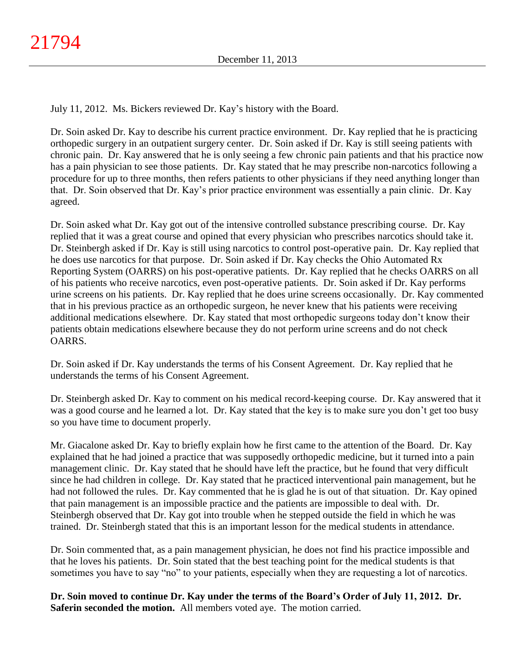July 11, 2012. Ms. Bickers reviewed Dr. Kay's history with the Board.

Dr. Soin asked Dr. Kay to describe his current practice environment. Dr. Kay replied that he is practicing orthopedic surgery in an outpatient surgery center. Dr. Soin asked if Dr. Kay is still seeing patients with chronic pain. Dr. Kay answered that he is only seeing a few chronic pain patients and that his practice now has a pain physician to see those patients. Dr. Kay stated that he may prescribe non-narcotics following a procedure for up to three months, then refers patients to other physicians if they need anything longer than that. Dr. Soin observed that Dr. Kay's prior practice environment was essentially a pain clinic. Dr. Kay agreed.

Dr. Soin asked what Dr. Kay got out of the intensive controlled substance prescribing course. Dr. Kay replied that it was a great course and opined that every physician who prescribes narcotics should take it. Dr. Steinbergh asked if Dr. Kay is still using narcotics to control post-operative pain. Dr. Kay replied that he does use narcotics for that purpose. Dr. Soin asked if Dr. Kay checks the Ohio Automated Rx Reporting System (OARRS) on his post-operative patients. Dr. Kay replied that he checks OARRS on all of his patients who receive narcotics, even post-operative patients. Dr. Soin asked if Dr. Kay performs urine screens on his patients. Dr. Kay replied that he does urine screens occasionally. Dr. Kay commented that in his previous practice as an orthopedic surgeon, he never knew that his patients were receiving additional medications elsewhere. Dr. Kay stated that most orthopedic surgeons today don't know their patients obtain medications elsewhere because they do not perform urine screens and do not check OARRS.

Dr. Soin asked if Dr. Kay understands the terms of his Consent Agreement. Dr. Kay replied that he understands the terms of his Consent Agreement.

Dr. Steinbergh asked Dr. Kay to comment on his medical record-keeping course. Dr. Kay answered that it was a good course and he learned a lot. Dr. Kay stated that the key is to make sure you don't get too busy so you have time to document properly.

Mr. Giacalone asked Dr. Kay to briefly explain how he first came to the attention of the Board. Dr. Kay explained that he had joined a practice that was supposedly orthopedic medicine, but it turned into a pain management clinic. Dr. Kay stated that he should have left the practice, but he found that very difficult since he had children in college. Dr. Kay stated that he practiced interventional pain management, but he had not followed the rules. Dr. Kay commented that he is glad he is out of that situation. Dr. Kay opined that pain management is an impossible practice and the patients are impossible to deal with. Dr. Steinbergh observed that Dr. Kay got into trouble when he stepped outside the field in which he was trained. Dr. Steinbergh stated that this is an important lesson for the medical students in attendance.

Dr. Soin commented that, as a pain management physician, he does not find his practice impossible and that he loves his patients. Dr. Soin stated that the best teaching point for the medical students is that sometimes you have to say "no" to your patients, especially when they are requesting a lot of narcotics.

**Dr. Soin moved to continue Dr. Kay under the terms of the Board's Order of July 11, 2012. Dr. Saferin seconded the motion.** All members voted aye. The motion carried.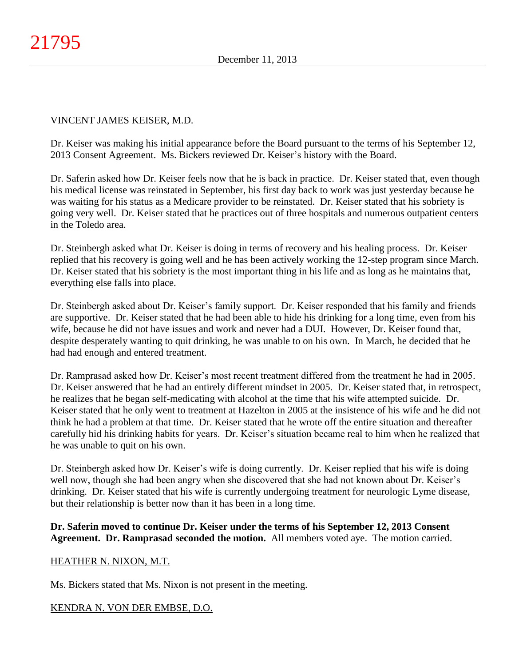### VINCENT JAMES KEISER, M.D.

Dr. Keiser was making his initial appearance before the Board pursuant to the terms of his September 12, 2013 Consent Agreement. Ms. Bickers reviewed Dr. Keiser's history with the Board.

Dr. Saferin asked how Dr. Keiser feels now that he is back in practice. Dr. Keiser stated that, even though his medical license was reinstated in September, his first day back to work was just yesterday because he was waiting for his status as a Medicare provider to be reinstated. Dr. Keiser stated that his sobriety is going very well. Dr. Keiser stated that he practices out of three hospitals and numerous outpatient centers in the Toledo area.

Dr. Steinbergh asked what Dr. Keiser is doing in terms of recovery and his healing process. Dr. Keiser replied that his recovery is going well and he has been actively working the 12-step program since March. Dr. Keiser stated that his sobriety is the most important thing in his life and as long as he maintains that, everything else falls into place.

Dr. Steinbergh asked about Dr. Keiser's family support. Dr. Keiser responded that his family and friends are supportive. Dr. Keiser stated that he had been able to hide his drinking for a long time, even from his wife, because he did not have issues and work and never had a DUI. However, Dr. Keiser found that, despite desperately wanting to quit drinking, he was unable to on his own. In March, he decided that he had had enough and entered treatment.

Dr. Ramprasad asked how Dr. Keiser's most recent treatment differed from the treatment he had in 2005. Dr. Keiser answered that he had an entirely different mindset in 2005. Dr. Keiser stated that, in retrospect, he realizes that he began self-medicating with alcohol at the time that his wife attempted suicide. Dr. Keiser stated that he only went to treatment at Hazelton in 2005 at the insistence of his wife and he did not think he had a problem at that time. Dr. Keiser stated that he wrote off the entire situation and thereafter carefully hid his drinking habits for years. Dr. Keiser's situation became real to him when he realized that he was unable to quit on his own.

Dr. Steinbergh asked how Dr. Keiser's wife is doing currently. Dr. Keiser replied that his wife is doing well now, though she had been angry when she discovered that she had not known about Dr. Keiser's drinking. Dr. Keiser stated that his wife is currently undergoing treatment for neurologic Lyme disease, but their relationship is better now than it has been in a long time.

### **Dr. Saferin moved to continue Dr. Keiser under the terms of his September 12, 2013 Consent Agreement. Dr. Ramprasad seconded the motion.** All members voted aye. The motion carried.

### HEATHER N. NIXON, M.T.

Ms. Bickers stated that Ms. Nixon is not present in the meeting.

# KENDRA N. VON DER EMBSE, D.O.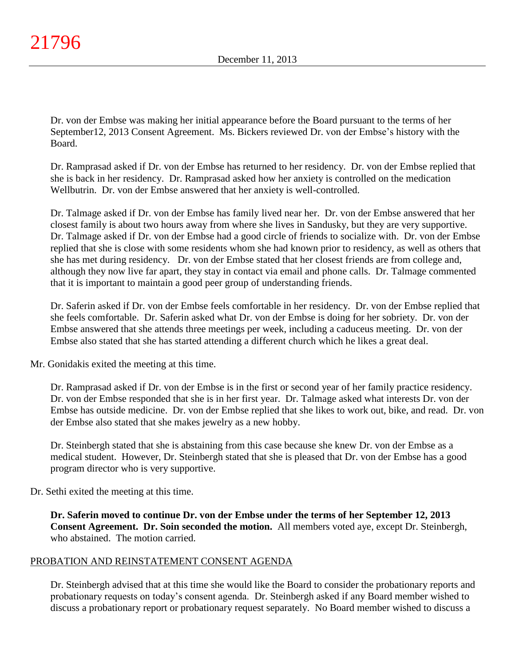Dr. von der Embse was making her initial appearance before the Board pursuant to the terms of her September12, 2013 Consent Agreement. Ms. Bickers reviewed Dr. von der Embse's history with the Board.

Dr. Ramprasad asked if Dr. von der Embse has returned to her residency. Dr. von der Embse replied that she is back in her residency. Dr. Ramprasad asked how her anxiety is controlled on the medication Wellbutrin. Dr. von der Embse answered that her anxiety is well-controlled.

Dr. Talmage asked if Dr. von der Embse has family lived near her. Dr. von der Embse answered that her closest family is about two hours away from where she lives in Sandusky, but they are very supportive. Dr. Talmage asked if Dr. von der Embse had a good circle of friends to socialize with. Dr. von der Embse replied that she is close with some residents whom she had known prior to residency, as well as others that she has met during residency. Dr. von der Embse stated that her closest friends are from college and, although they now live far apart, they stay in contact via email and phone calls. Dr. Talmage commented that it is important to maintain a good peer group of understanding friends.

Dr. Saferin asked if Dr. von der Embse feels comfortable in her residency. Dr. von der Embse replied that she feels comfortable. Dr. Saferin asked what Dr. von der Embse is doing for her sobriety. Dr. von der Embse answered that she attends three meetings per week, including a caduceus meeting. Dr. von der Embse also stated that she has started attending a different church which he likes a great deal.

Mr. Gonidakis exited the meeting at this time.

Dr. Ramprasad asked if Dr. von der Embse is in the first or second year of her family practice residency. Dr. von der Embse responded that she is in her first year. Dr. Talmage asked what interests Dr. von der Embse has outside medicine. Dr. von der Embse replied that she likes to work out, bike, and read. Dr. von der Embse also stated that she makes jewelry as a new hobby.

Dr. Steinbergh stated that she is abstaining from this case because she knew Dr. von der Embse as a medical student. However, Dr. Steinbergh stated that she is pleased that Dr. von der Embse has a good program director who is very supportive.

Dr. Sethi exited the meeting at this time.

**Dr. Saferin moved to continue Dr. von der Embse under the terms of her September 12, 2013 Consent Agreement. Dr. Soin seconded the motion.** All members voted aye, except Dr. Steinbergh, who abstained. The motion carried.

# PROBATION AND REINSTATEMENT CONSENT AGENDA

Dr. Steinbergh advised that at this time she would like the Board to consider the probationary reports and probationary requests on today's consent agenda. Dr. Steinbergh asked if any Board member wished to discuss a probationary report or probationary request separately. No Board member wished to discuss a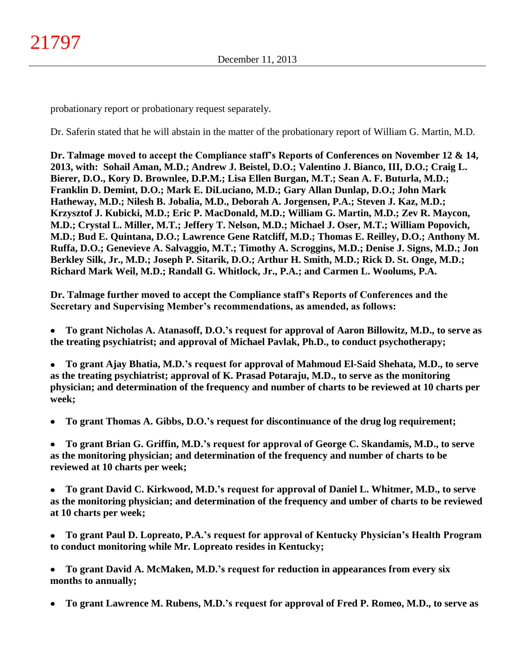probationary report or probationary request separately.

Dr. Saferin stated that he will abstain in the matter of the probationary report of William G. Martin, M.D.

**Dr. Talmage moved to accept the Compliance staff's Reports of Conferences on November 12 & 14, 2013, with: Sohail Aman, M.D.; Andrew J. Beistel, D.O.; Valentino J. Bianco, III, D.O.; Craig L. Bierer, D.O., Kory D. Brownlee, D.P.M.; Lisa Ellen Burgan, M.T.; Sean A. F. Buturla, M.D.; Franklin D. Demint, D.O.; Mark E. DiLuciano, M.D.; Gary Allan Dunlap, D.O.; John Mark Hatheway, M.D.; Nilesh B. Jobalia, M.D., Deborah A. Jorgensen, P.A.; Steven J. Kaz, M.D.; Krzysztof J. Kubicki, M.D.; Eric P. MacDonald, M.D.; William G. Martin, M.D.; Zev R. Maycon, M.D.; Crystal L. Miller, M.T.; Jeffery T. Nelson, M.D.; Michael J. Oser, M.T.; William Popovich, M.D.; Bud E. Quintana, D.O.; Lawrence Gene Ratcliff, M.D.; Thomas E. Reilley, D.O.; Anthony M. Ruffa, D.O.; Genevieve A. Salvaggio, M.T.; Timothy A. Scroggins, M.D.; Denise J. Signs, M.D.; Jon Berkley Silk, Jr., M.D.; Joseph P. Sitarik, D.O.; Arthur H. Smith, M.D.; Rick D. St. Onge, M.D.; Richard Mark Weil, M.D.; Randall G. Whitlock, Jr., P.A.; and Carmen L. Woolums, P.A.**

**Dr. Talmage further moved to accept the Compliance staff's Reports of Conferences and the Secretary and Supervising Member's recommendations, as amended, as follows:**

**To grant Nicholas A. Atanasoff, D.O.'s request for approval of Aaron Billowitz, M.D., to serve as**   $\bullet$ **the treating psychiatrist; and approval of Michael Pavlak, Ph.D., to conduct psychotherapy;**

**To grant Ajay Bhatia, M.D.'s request for approval of Mahmoud El-Said Shehata, M.D., to serve**   $\bullet$ **as the treating psychiatrist; approval of K. Prasad Potaraju, M.D., to serve as the monitoring physician; and determination of the frequency and number of charts to be reviewed at 10 charts per week;**

**To grant Thomas A. Gibbs, D.O.'s request for discontinuance of the drug log requirement;**  $\bullet$ 

**To grant Brian G. Griffin, M.D.'s request for approval of George C. Skandamis, M.D., to serve**   $\bullet$ **as the monitoring physician; and determination of the frequency and number of charts to be reviewed at 10 charts per week;**

 $\bullet$ **To grant David C. Kirkwood, M.D.'s request for approval of Daniel L. Whitmer, M.D., to serve as the monitoring physician; and determination of the frequency and umber of charts to be reviewed at 10 charts per week;**

 $\bullet$ **To grant Paul D. Lopreato, P.A.'s request for approval of Kentucky Physician's Health Program to conduct monitoring while Mr. Lopreato resides in Kentucky;**

**To grant David A. McMaken, M.D.'s request for reduction in appearances from every six**   $\bullet$ **months to annually;**

**To grant Lawrence M. Rubens, M.D.'s request for approval of Fred P. Romeo, M.D., to serve as**  $\bullet$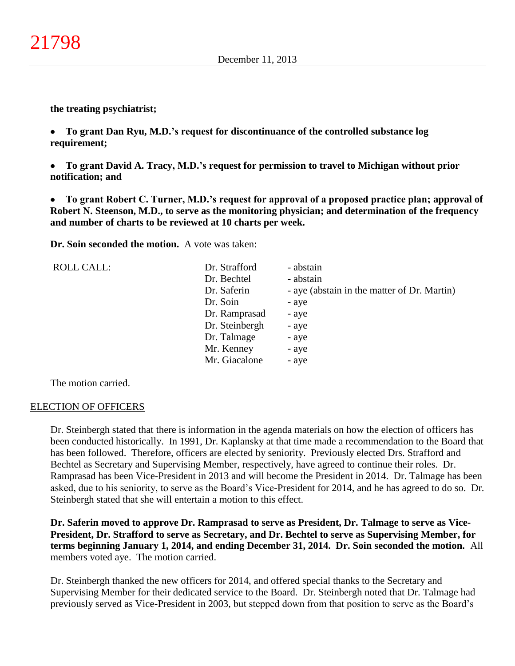**the treating psychiatrist;**

**To grant Dan Ryu, M.D.'s request for discontinuance of the controlled substance log**   $\bullet$ **requirement;**

 $\bullet$ **To grant David A. Tracy, M.D.'s request for permission to travel to Michigan without prior notification; and**

**To grant Robert C. Turner, M.D.'s request for approval of a proposed practice plan; approval of**   $\bullet$ **Robert N. Steenson, M.D., to serve as the monitoring physician; and determination of the frequency and number of charts to be reviewed at 10 charts per week.**

**Dr. Soin seconded the motion.** A vote was taken:

| <b>ROLL CALL:</b> | Dr. Strafford  | - abstain                                   |
|-------------------|----------------|---------------------------------------------|
|                   | Dr. Bechtel    | - abstain                                   |
|                   | Dr. Saferin    | - aye (abstain in the matter of Dr. Martin) |
|                   | Dr. Soin       | - aye                                       |
|                   | Dr. Ramprasad  | - aye                                       |
|                   | Dr. Steinbergh | - aye                                       |
|                   | Dr. Talmage    | - aye                                       |
|                   | Mr. Kenney     | - aye                                       |
|                   | Mr. Giacalone  | - aye                                       |

The motion carried.

### ELECTION OF OFFICERS

Dr. Steinbergh stated that there is information in the agenda materials on how the election of officers has been conducted historically. In 1991, Dr. Kaplansky at that time made a recommendation to the Board that has been followed. Therefore, officers are elected by seniority. Previously elected Drs. Strafford and Bechtel as Secretary and Supervising Member, respectively, have agreed to continue their roles. Dr. Ramprasad has been Vice-President in 2013 and will become the President in 2014. Dr. Talmage has been asked, due to his seniority, to serve as the Board's Vice-President for 2014, and he has agreed to do so. Dr. Steinbergh stated that she will entertain a motion to this effect.

**Dr. Saferin moved to approve Dr. Ramprasad to serve as President, Dr. Talmage to serve as Vice-President, Dr. Strafford to serve as Secretary, and Dr. Bechtel to serve as Supervising Member, for terms beginning January 1, 2014, and ending December 31, 2014. Dr. Soin seconded the motion.** All members voted aye. The motion carried.

Dr. Steinbergh thanked the new officers for 2014, and offered special thanks to the Secretary and Supervising Member for their dedicated service to the Board. Dr. Steinbergh noted that Dr. Talmage had previously served as Vice-President in 2003, but stepped down from that position to serve as the Board's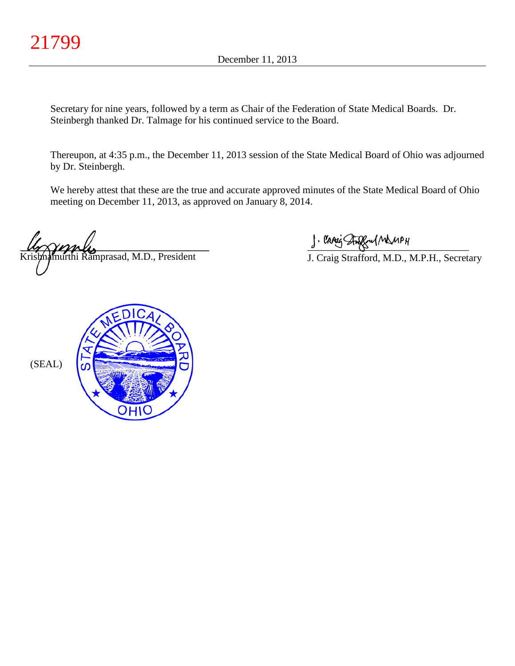Secretary for nine years, followed by a term as Chair of the Federation of State Medical Boards. Dr. Steinbergh thanked Dr. Talmage for his continued service to the Board.

Thereupon, at 4:35 p.m., the December 11, 2013 session of the State Medical Board of Ohio was adjourned by Dr. Steinbergh.

We hereby attest that these are the true and accurate approved minutes of the State Medical Board of Ohio meeting on December 11, 2013, as approved on January 8, 2014.

 $\mu_{\gamma}$   $\gamma_{\gamma}$   $\mu_{\gamma}$ murthi Ramprasad, M.D., President

 $\int$  and single  $\int$   $\frac{1}{2}$ 

J. Craig Strafford, M.D., M.P.H., Secretary

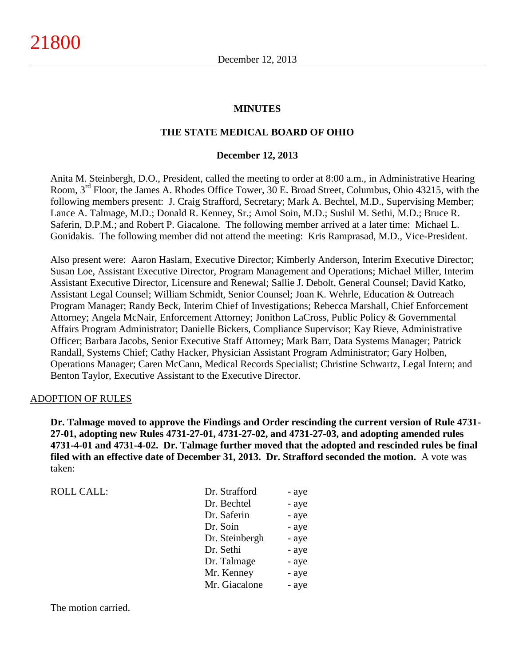#### **MINUTES**

#### **THE STATE MEDICAL BOARD OF OHIO**

#### **December 12, 2013**

Anita M. Steinbergh, D.O., President, called the meeting to order at 8:00 a.m., in Administrative Hearing Room, 3rd Floor, the James A. Rhodes Office Tower, 30 E. Broad Street, Columbus, Ohio 43215, with the following members present: J. Craig Strafford, Secretary; Mark A. Bechtel, M.D., Supervising Member; Lance A. Talmage, M.D.; Donald R. Kenney, Sr.; Amol Soin, M.D.; Sushil M. Sethi, M.D.; Bruce R. Saferin, D.P.M.; and Robert P. Giacalone. The following member arrived at a later time: Michael L. Gonidakis. The following member did not attend the meeting: Kris Ramprasad, M.D., Vice-President.

Also present were: Aaron Haslam, Executive Director; Kimberly Anderson, Interim Executive Director; Susan Loe, Assistant Executive Director, Program Management and Operations; Michael Miller, Interim Assistant Executive Director, Licensure and Renewal; Sallie J. Debolt, General Counsel; David Katko, Assistant Legal Counsel; William Schmidt, Senior Counsel; Joan K. Wehrle, Education & Outreach Program Manager; Randy Beck, Interim Chief of Investigations; Rebecca Marshall, Chief Enforcement Attorney; Angela McNair, Enforcement Attorney; Jonithon LaCross, Public Policy & Governmental Affairs Program Administrator; Danielle Bickers, Compliance Supervisor; Kay Rieve, Administrative Officer; Barbara Jacobs, Senior Executive Staff Attorney; Mark Barr, Data Systems Manager; Patrick Randall, Systems Chief; Cathy Hacker, Physician Assistant Program Administrator; Gary Holben, Operations Manager; Caren McCann, Medical Records Specialist; Christine Schwartz, Legal Intern; and Benton Taylor, Executive Assistant to the Executive Director.

#### ADOPTION OF RULES

**Dr. Talmage moved to approve the Findings and Order rescinding the current version of Rule 4731- 27-01, adopting new Rules 4731-27-01, 4731-27-02, and 4731-27-03, and adopting amended rules 4731-4-01 and 4731-4-02. Dr. Talmage further moved that the adopted and rescinded rules be final filed with an effective date of December 31, 2013. Dr. Strafford seconded the motion.** A vote was taken:

| Dr. Strafford  | - aye |
|----------------|-------|
| Dr. Bechtel    | - aye |
| Dr. Saferin    | - aye |
| Dr. Soin       | - aye |
| Dr. Steinbergh | - aye |
| Dr. Sethi      | - aye |
| Dr. Talmage    | - aye |
| Mr. Kenney     | - aye |
| Mr. Giacalone  | - aye |
|                |       |

The motion carried.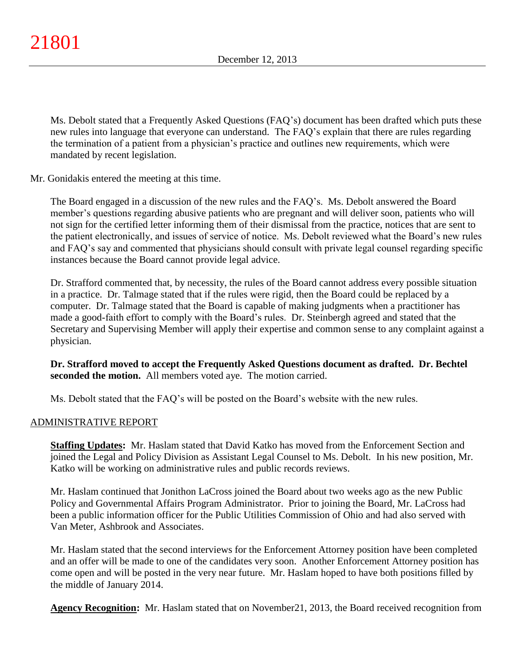Ms. Debolt stated that a Frequently Asked Questions (FAQ's) document has been drafted which puts these new rules into language that everyone can understand. The FAQ's explain that there are rules regarding the termination of a patient from a physician's practice and outlines new requirements, which were mandated by recent legislation.

Mr. Gonidakis entered the meeting at this time.

The Board engaged in a discussion of the new rules and the FAQ's. Ms. Debolt answered the Board member's questions regarding abusive patients who are pregnant and will deliver soon, patients who will not sign for the certified letter informing them of their dismissal from the practice, notices that are sent to the patient electronically, and issues of service of notice. Ms. Debolt reviewed what the Board's new rules and FAQ's say and commented that physicians should consult with private legal counsel regarding specific instances because the Board cannot provide legal advice.

Dr. Strafford commented that, by necessity, the rules of the Board cannot address every possible situation in a practice. Dr. Talmage stated that if the rules were rigid, then the Board could be replaced by a computer. Dr. Talmage stated that the Board is capable of making judgments when a practitioner has made a good-faith effort to comply with the Board's rules. Dr. Steinbergh agreed and stated that the Secretary and Supervising Member will apply their expertise and common sense to any complaint against a physician.

**Dr. Strafford moved to accept the Frequently Asked Questions document as drafted. Dr. Bechtel seconded the motion.** All members voted aye. The motion carried.

Ms. Debolt stated that the FAQ's will be posted on the Board's website with the new rules.

### ADMINISTRATIVE REPORT

**Staffing Updates:** Mr. Haslam stated that David Katko has moved from the Enforcement Section and joined the Legal and Policy Division as Assistant Legal Counsel to Ms. Debolt. In his new position, Mr. Katko will be working on administrative rules and public records reviews.

Mr. Haslam continued that Jonithon LaCross joined the Board about two weeks ago as the new Public Policy and Governmental Affairs Program Administrator. Prior to joining the Board, Mr. LaCross had been a public information officer for the Public Utilities Commission of Ohio and had also served with Van Meter, Ashbrook and Associates.

Mr. Haslam stated that the second interviews for the Enforcement Attorney position have been completed and an offer will be made to one of the candidates very soon. Another Enforcement Attorney position has come open and will be posted in the very near future. Mr. Haslam hoped to have both positions filled by the middle of January 2014.

**Agency Recognition:** Mr. Haslam stated that on November21, 2013, the Board received recognition from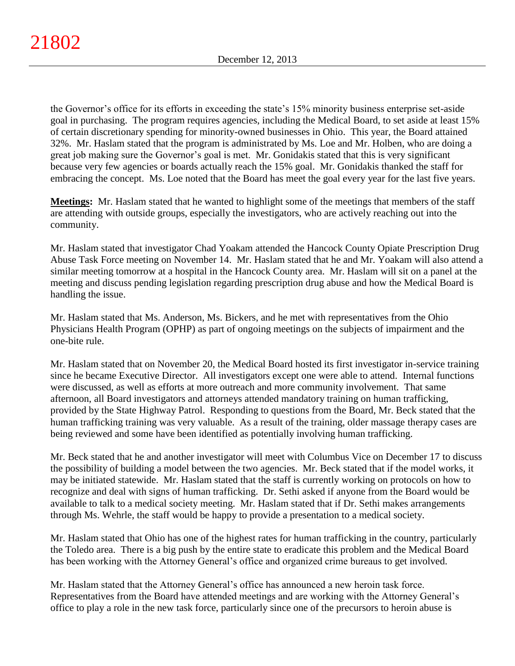the Governor's office for its efforts in exceeding the state's 15% minority business enterprise set-aside goal in purchasing. The program requires agencies, including the Medical Board, to set aside at least 15% of certain discretionary spending for minority-owned businesses in Ohio. This year, the Board attained 32%. Mr. Haslam stated that the program is administrated by Ms. Loe and Mr. Holben, who are doing a great job making sure the Governor's goal is met. Mr. Gonidakis stated that this is very significant because very few agencies or boards actually reach the 15% goal. Mr. Gonidakis thanked the staff for embracing the concept. Ms. Loe noted that the Board has meet the goal every year for the last five years.

**Meetings:** Mr. Haslam stated that he wanted to highlight some of the meetings that members of the staff are attending with outside groups, especially the investigators, who are actively reaching out into the community.

Mr. Haslam stated that investigator Chad Yoakam attended the Hancock County Opiate Prescription Drug Abuse Task Force meeting on November 14. Mr. Haslam stated that he and Mr. Yoakam will also attend a similar meeting tomorrow at a hospital in the Hancock County area. Mr. Haslam will sit on a panel at the meeting and discuss pending legislation regarding prescription drug abuse and how the Medical Board is handling the issue.

Mr. Haslam stated that Ms. Anderson, Ms. Bickers, and he met with representatives from the Ohio Physicians Health Program (OPHP) as part of ongoing meetings on the subjects of impairment and the one-bite rule.

Mr. Haslam stated that on November 20, the Medical Board hosted its first investigator in-service training since he became Executive Director. All investigators except one were able to attend. Internal functions were discussed, as well as efforts at more outreach and more community involvement. That same afternoon, all Board investigators and attorneys attended mandatory training on human trafficking, provided by the State Highway Patrol. Responding to questions from the Board, Mr. Beck stated that the human trafficking training was very valuable. As a result of the training, older massage therapy cases are being reviewed and some have been identified as potentially involving human trafficking.

Mr. Beck stated that he and another investigator will meet with Columbus Vice on December 17 to discuss the possibility of building a model between the two agencies. Mr. Beck stated that if the model works, it may be initiated statewide. Mr. Haslam stated that the staff is currently working on protocols on how to recognize and deal with signs of human trafficking. Dr. Sethi asked if anyone from the Board would be available to talk to a medical society meeting. Mr. Haslam stated that if Dr. Sethi makes arrangements through Ms. Wehrle, the staff would be happy to provide a presentation to a medical society.

Mr. Haslam stated that Ohio has one of the highest rates for human trafficking in the country, particularly the Toledo area. There is a big push by the entire state to eradicate this problem and the Medical Board has been working with the Attorney General's office and organized crime bureaus to get involved.

Mr. Haslam stated that the Attorney General's office has announced a new heroin task force. Representatives from the Board have attended meetings and are working with the Attorney General's office to play a role in the new task force, particularly since one of the precursors to heroin abuse is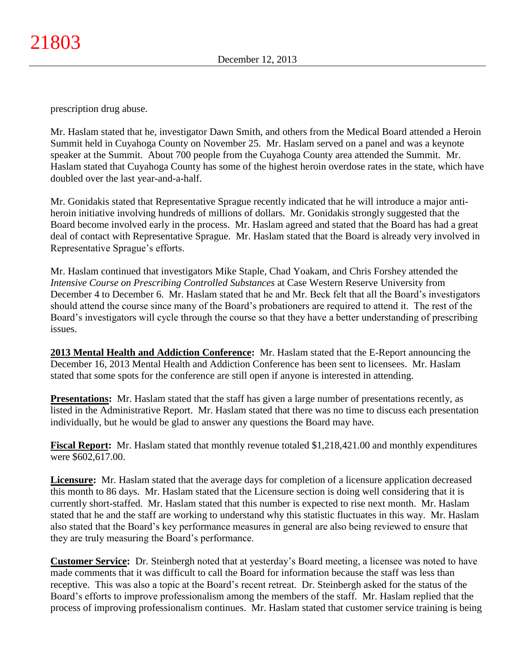prescription drug abuse.

Mr. Haslam stated that he, investigator Dawn Smith, and others from the Medical Board attended a Heroin Summit held in Cuyahoga County on November 25. Mr. Haslam served on a panel and was a keynote speaker at the Summit. About 700 people from the Cuyahoga County area attended the Summit. Mr. Haslam stated that Cuyahoga County has some of the highest heroin overdose rates in the state, which have doubled over the last year-and-a-half.

Mr. Gonidakis stated that Representative Sprague recently indicated that he will introduce a major antiheroin initiative involving hundreds of millions of dollars. Mr. Gonidakis strongly suggested that the Board become involved early in the process. Mr. Haslam agreed and stated that the Board has had a great deal of contact with Representative Sprague. Mr. Haslam stated that the Board is already very involved in Representative Sprague's efforts.

Mr. Haslam continued that investigators Mike Staple, Chad Yoakam, and Chris Forshey attended the *Intensive Course on Prescribing Controlled Substances* at Case Western Reserve University from December 4 to December 6. Mr. Haslam stated that he and Mr. Beck felt that all the Board's investigators should attend the course since many of the Board's probationers are required to attend it. The rest of the Board's investigators will cycle through the course so that they have a better understanding of prescribing issues.

**2013 Mental Health and Addiction Conference:** Mr. Haslam stated that the E-Report announcing the December 16, 2013 Mental Health and Addiction Conference has been sent to licensees. Mr. Haslam stated that some spots for the conference are still open if anyone is interested in attending.

**Presentations:** Mr. Haslam stated that the staff has given a large number of presentations recently, as listed in the Administrative Report. Mr. Haslam stated that there was no time to discuss each presentation individually, but he would be glad to answer any questions the Board may have.

**Fiscal Report:** Mr. Haslam stated that monthly revenue totaled \$1,218,421.00 and monthly expenditures were \$602,617.00.

**Licensure:** Mr. Haslam stated that the average days for completion of a licensure application decreased this month to 86 days. Mr. Haslam stated that the Licensure section is doing well considering that it is currently short-staffed. Mr. Haslam stated that this number is expected to rise next month. Mr. Haslam stated that he and the staff are working to understand why this statistic fluctuates in this way. Mr. Haslam also stated that the Board's key performance measures in general are also being reviewed to ensure that they are truly measuring the Board's performance.

**Customer Service:** Dr. Steinbergh noted that at yesterday's Board meeting, a licensee was noted to have made comments that it was difficult to call the Board for information because the staff was less than receptive. This was also a topic at the Board's recent retreat. Dr. Steinbergh asked for the status of the Board's efforts to improve professionalism among the members of the staff. Mr. Haslam replied that the process of improving professionalism continues. Mr. Haslam stated that customer service training is being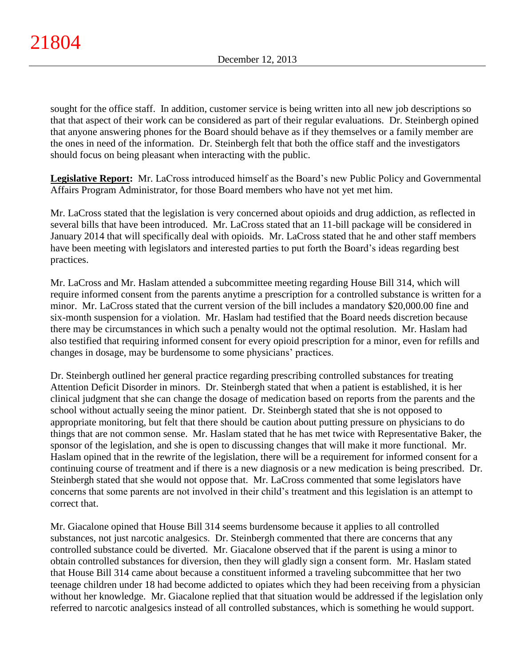sought for the office staff. In addition, customer service is being written into all new job descriptions so that that aspect of their work can be considered as part of their regular evaluations. Dr. Steinbergh opined that anyone answering phones for the Board should behave as if they themselves or a family member are the ones in need of the information. Dr. Steinbergh felt that both the office staff and the investigators should focus on being pleasant when interacting with the public.

**Legislative Report:** Mr. LaCross introduced himself as the Board's new Public Policy and Governmental Affairs Program Administrator, for those Board members who have not yet met him.

Mr. LaCross stated that the legislation is very concerned about opioids and drug addiction, as reflected in several bills that have been introduced. Mr. LaCross stated that an 11-bill package will be considered in January 2014 that will specifically deal with opioids. Mr. LaCross stated that he and other staff members have been meeting with legislators and interested parties to put forth the Board's ideas regarding best practices.

Mr. LaCross and Mr. Haslam attended a subcommittee meeting regarding House Bill 314, which will require informed consent from the parents anytime a prescription for a controlled substance is written for a minor. Mr. LaCross stated that the current version of the bill includes a mandatory \$20,000.00 fine and six-month suspension for a violation. Mr. Haslam had testified that the Board needs discretion because there may be circumstances in which such a penalty would not the optimal resolution. Mr. Haslam had also testified that requiring informed consent for every opioid prescription for a minor, even for refills and changes in dosage, may be burdensome to some physicians' practices.

Dr. Steinbergh outlined her general practice regarding prescribing controlled substances for treating Attention Deficit Disorder in minors. Dr. Steinbergh stated that when a patient is established, it is her clinical judgment that she can change the dosage of medication based on reports from the parents and the school without actually seeing the minor patient. Dr. Steinbergh stated that she is not opposed to appropriate monitoring, but felt that there should be caution about putting pressure on physicians to do things that are not common sense. Mr. Haslam stated that he has met twice with Representative Baker, the sponsor of the legislation, and she is open to discussing changes that will make it more functional. Mr. Haslam opined that in the rewrite of the legislation, there will be a requirement for informed consent for a continuing course of treatment and if there is a new diagnosis or a new medication is being prescribed. Dr. Steinbergh stated that she would not oppose that. Mr. LaCross commented that some legislators have concerns that some parents are not involved in their child's treatment and this legislation is an attempt to correct that.

Mr. Giacalone opined that House Bill 314 seems burdensome because it applies to all controlled substances, not just narcotic analgesics. Dr. Steinbergh commented that there are concerns that any controlled substance could be diverted. Mr. Giacalone observed that if the parent is using a minor to obtain controlled substances for diversion, then they will gladly sign a consent form. Mr. Haslam stated that House Bill 314 came about because a constituent informed a traveling subcommittee that her two teenage children under 18 had become addicted to opiates which they had been receiving from a physician without her knowledge. Mr. Giacalone replied that that situation would be addressed if the legislation only referred to narcotic analgesics instead of all controlled substances, which is something he would support.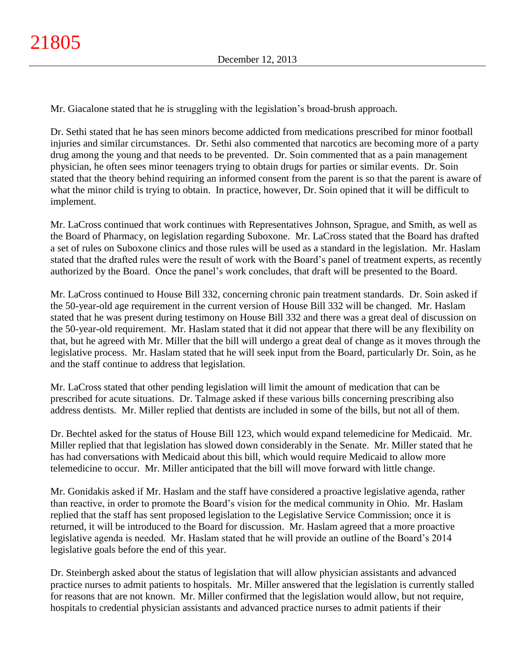Mr. Giacalone stated that he is struggling with the legislation's broad-brush approach.

Dr. Sethi stated that he has seen minors become addicted from medications prescribed for minor football injuries and similar circumstances. Dr. Sethi also commented that narcotics are becoming more of a party drug among the young and that needs to be prevented. Dr. Soin commented that as a pain management physician, he often sees minor teenagers trying to obtain drugs for parties or similar events. Dr. Soin stated that the theory behind requiring an informed consent from the parent is so that the parent is aware of what the minor child is trying to obtain. In practice, however, Dr. Soin opined that it will be difficult to implement.

Mr. LaCross continued that work continues with Representatives Johnson, Sprague, and Smith, as well as the Board of Pharmacy, on legislation regarding Suboxone. Mr. LaCross stated that the Board has drafted a set of rules on Suboxone clinics and those rules will be used as a standard in the legislation. Mr. Haslam stated that the drafted rules were the result of work with the Board's panel of treatment experts, as recently authorized by the Board. Once the panel's work concludes, that draft will be presented to the Board.

Mr. LaCross continued to House Bill 332, concerning chronic pain treatment standards. Dr. Soin asked if the 50-year-old age requirement in the current version of House Bill 332 will be changed. Mr. Haslam stated that he was present during testimony on House Bill 332 and there was a great deal of discussion on the 50-year-old requirement. Mr. Haslam stated that it did not appear that there will be any flexibility on that, but he agreed with Mr. Miller that the bill will undergo a great deal of change as it moves through the legislative process. Mr. Haslam stated that he will seek input from the Board, particularly Dr. Soin, as he and the staff continue to address that legislation.

Mr. LaCross stated that other pending legislation will limit the amount of medication that can be prescribed for acute situations. Dr. Talmage asked if these various bills concerning prescribing also address dentists. Mr. Miller replied that dentists are included in some of the bills, but not all of them.

Dr. Bechtel asked for the status of House Bill 123, which would expand telemedicine for Medicaid. Mr. Miller replied that that legislation has slowed down considerably in the Senate. Mr. Miller stated that he has had conversations with Medicaid about this bill, which would require Medicaid to allow more telemedicine to occur. Mr. Miller anticipated that the bill will move forward with little change.

Mr. Gonidakis asked if Mr. Haslam and the staff have considered a proactive legislative agenda, rather than reactive, in order to promote the Board's vision for the medical community in Ohio. Mr. Haslam replied that the staff has sent proposed legislation to the Legislative Service Commission; once it is returned, it will be introduced to the Board for discussion. Mr. Haslam agreed that a more proactive legislative agenda is needed. Mr. Haslam stated that he will provide an outline of the Board's 2014 legislative goals before the end of this year.

Dr. Steinbergh asked about the status of legislation that will allow physician assistants and advanced practice nurses to admit patients to hospitals. Mr. Miller answered that the legislation is currently stalled for reasons that are not known. Mr. Miller confirmed that the legislation would allow, but not require, hospitals to credential physician assistants and advanced practice nurses to admit patients if their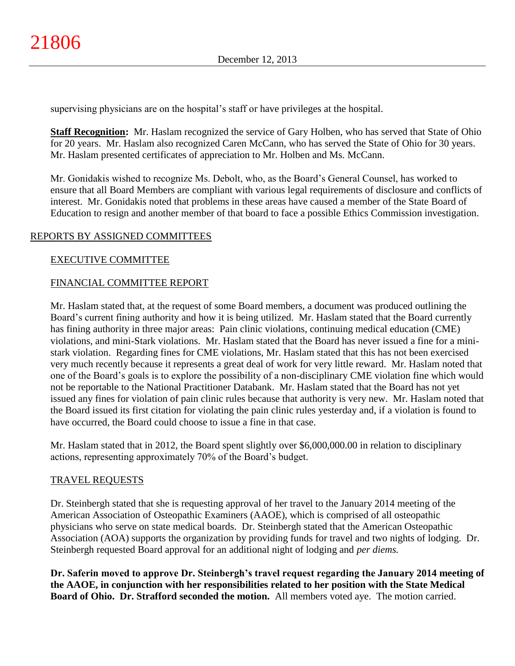supervising physicians are on the hospital's staff or have privileges at the hospital.

**Staff Recognition:** Mr. Haslam recognized the service of Gary Holben, who has served that State of Ohio for 20 years. Mr. Haslam also recognized Caren McCann, who has served the State of Ohio for 30 years. Mr. Haslam presented certificates of appreciation to Mr. Holben and Ms. McCann.

Mr. Gonidakis wished to recognize Ms. Debolt, who, as the Board's General Counsel, has worked to ensure that all Board Members are compliant with various legal requirements of disclosure and conflicts of interest. Mr. Gonidakis noted that problems in these areas have caused a member of the State Board of Education to resign and another member of that board to face a possible Ethics Commission investigation.

# REPORTS BY ASSIGNED COMMITTEES

### EXECUTIVE COMMITTEE

### FINANCIAL COMMITTEE REPORT

Mr. Haslam stated that, at the request of some Board members, a document was produced outlining the Board's current fining authority and how it is being utilized. Mr. Haslam stated that the Board currently has fining authority in three major areas: Pain clinic violations, continuing medical education (CME) violations, and mini-Stark violations. Mr. Haslam stated that the Board has never issued a fine for a ministark violation. Regarding fines for CME violations, Mr. Haslam stated that this has not been exercised very much recently because it represents a great deal of work for very little reward. Mr. Haslam noted that one of the Board's goals is to explore the possibility of a non-disciplinary CME violation fine which would not be reportable to the National Practitioner Databank. Mr. Haslam stated that the Board has not yet issued any fines for violation of pain clinic rules because that authority is very new. Mr. Haslam noted that the Board issued its first citation for violating the pain clinic rules yesterday and, if a violation is found to have occurred, the Board could choose to issue a fine in that case.

Mr. Haslam stated that in 2012, the Board spent slightly over \$6,000,000.00 in relation to disciplinary actions, representing approximately 70% of the Board's budget.

### TRAVEL REQUESTS

Dr. Steinbergh stated that she is requesting approval of her travel to the January 2014 meeting of the American Association of Osteopathic Examiners (AAOE), which is comprised of all osteopathic physicians who serve on state medical boards. Dr. Steinbergh stated that the American Osteopathic Association (AOA) supports the organization by providing funds for travel and two nights of lodging. Dr. Steinbergh requested Board approval for an additional night of lodging and *per diems.*

**Dr. Saferin moved to approve Dr. Steinbergh's travel request regarding the January 2014 meeting of the AAOE, in conjunction with her responsibilities related to her position with the State Medical Board of Ohio. Dr. Strafford seconded the motion.** All members voted aye. The motion carried.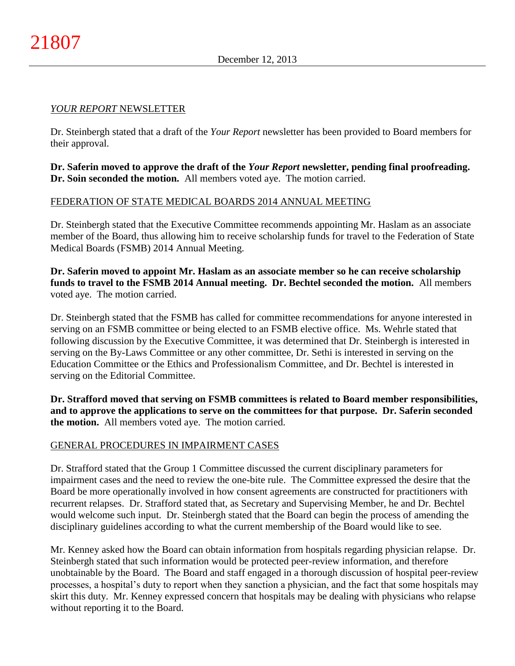#### *YOUR REPORT* NEWSLETTER

Dr. Steinbergh stated that a draft of the *Your Report* newsletter has been provided to Board members for their approval.

**Dr. Saferin moved to approve the draft of the** *Your Report* **newsletter, pending final proofreading. Dr. Soin seconded the motion.** All members voted aye. The motion carried.

### FEDERATION OF STATE MEDICAL BOARDS 2014 ANNUAL MEETING

Dr. Steinbergh stated that the Executive Committee recommends appointing Mr. Haslam as an associate member of the Board, thus allowing him to receive scholarship funds for travel to the Federation of State Medical Boards (FSMB) 2014 Annual Meeting.

**Dr. Saferin moved to appoint Mr. Haslam as an associate member so he can receive scholarship funds to travel to the FSMB 2014 Annual meeting. Dr. Bechtel seconded the motion.** All members voted aye. The motion carried.

Dr. Steinbergh stated that the FSMB has called for committee recommendations for anyone interested in serving on an FSMB committee or being elected to an FSMB elective office. Ms. Wehrle stated that following discussion by the Executive Committee, it was determined that Dr. Steinbergh is interested in serving on the By-Laws Committee or any other committee, Dr. Sethi is interested in serving on the Education Committee or the Ethics and Professionalism Committee, and Dr. Bechtel is interested in serving on the Editorial Committee.

**Dr. Strafford moved that serving on FSMB committees is related to Board member responsibilities, and to approve the applications to serve on the committees for that purpose. Dr. Saferin seconded the motion.** All members voted aye. The motion carried.

### GENERAL PROCEDURES IN IMPAIRMENT CASES

Dr. Strafford stated that the Group 1 Committee discussed the current disciplinary parameters for impairment cases and the need to review the one-bite rule. The Committee expressed the desire that the Board be more operationally involved in how consent agreements are constructed for practitioners with recurrent relapses. Dr. Strafford stated that, as Secretary and Supervising Member, he and Dr. Bechtel would welcome such input. Dr. Steinbergh stated that the Board can begin the process of amending the disciplinary guidelines according to what the current membership of the Board would like to see.

Mr. Kenney asked how the Board can obtain information from hospitals regarding physician relapse. Dr. Steinbergh stated that such information would be protected peer-review information, and therefore unobtainable by the Board. The Board and staff engaged in a thorough discussion of hospital peer-review processes, a hospital's duty to report when they sanction a physician, and the fact that some hospitals may skirt this duty. Mr. Kenney expressed concern that hospitals may be dealing with physicians who relapse without reporting it to the Board.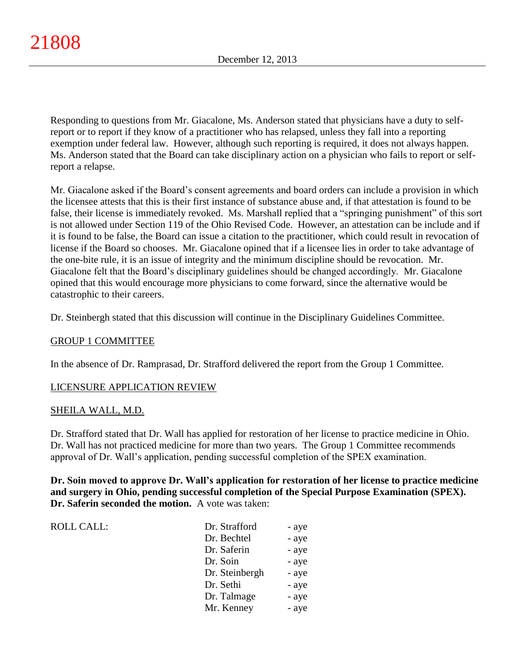Responding to questions from Mr. Giacalone, Ms. Anderson stated that physicians have a duty to selfreport or to report if they know of a practitioner who has relapsed, unless they fall into a reporting exemption under federal law. However, although such reporting is required, it does not always happen. Ms. Anderson stated that the Board can take disciplinary action on a physician who fails to report or selfreport a relapse.

Mr. Giacalone asked if the Board's consent agreements and board orders can include a provision in which the licensee attests that this is their first instance of substance abuse and, if that attestation is found to be false, their license is immediately revoked. Ms. Marshall replied that a "springing punishment" of this sort is not allowed under Section 119 of the Ohio Revised Code. However, an attestation can be include and if it is found to be false, the Board can issue a citation to the practitioner, which could result in revocation of license if the Board so chooses. Mr. Giacalone opined that if a licensee lies in order to take advantage of the one-bite rule, it is an issue of integrity and the minimum discipline should be revocation. Mr. Giacalone felt that the Board's disciplinary guidelines should be changed accordingly. Mr. Giacalone opined that this would encourage more physicians to come forward, since the alternative would be catastrophic to their careers.

Dr. Steinbergh stated that this discussion will continue in the Disciplinary Guidelines Committee.

### GROUP 1 COMMITTEE

In the absence of Dr. Ramprasad, Dr. Strafford delivered the report from the Group 1 Committee.

### LICENSURE APPLICATION REVIEW

### SHEILA WALL, M.D.

Dr. Strafford stated that Dr. Wall has applied for restoration of her license to practice medicine in Ohio. Dr. Wall has not practiced medicine for more than two years. The Group 1 Committee recommends approval of Dr. Wall's application, pending successful completion of the SPEX examination.

**Dr. Soin moved to approve Dr. Wall's application for restoration of her license to practice medicine and surgery in Ohio, pending successful completion of the Special Purpose Examination (SPEX). Dr. Saferin seconded the motion.** A vote was taken:

ROLL CALL: T

| Dr. Strafford  | - aye |
|----------------|-------|
| Dr. Bechtel    | - aye |
| Dr. Saferin    | - aye |
| Dr. Soin       | - aye |
| Dr. Steinbergh | - aye |
| Dr. Sethi      | - aye |
| Dr. Talmage    | - aye |
| Mr. Kenney     | - aye |
|                |       |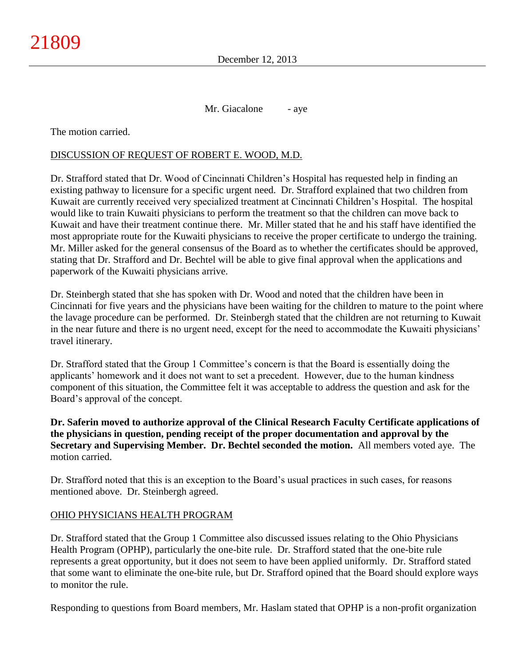Mr. Giacalone - aye

The motion carried.

### DISCUSSION OF REQUEST OF ROBERT E. WOOD, M.D.

Dr. Strafford stated that Dr. Wood of Cincinnati Children's Hospital has requested help in finding an existing pathway to licensure for a specific urgent need. Dr. Strafford explained that two children from Kuwait are currently received very specialized treatment at Cincinnati Children's Hospital. The hospital would like to train Kuwaiti physicians to perform the treatment so that the children can move back to Kuwait and have their treatment continue there. Mr. Miller stated that he and his staff have identified the most appropriate route for the Kuwaiti physicians to receive the proper certificate to undergo the training. Mr. Miller asked for the general consensus of the Board as to whether the certificates should be approved, stating that Dr. Strafford and Dr. Bechtel will be able to give final approval when the applications and paperwork of the Kuwaiti physicians arrive.

Dr. Steinbergh stated that she has spoken with Dr. Wood and noted that the children have been in Cincinnati for five years and the physicians have been waiting for the children to mature to the point where the lavage procedure can be performed. Dr. Steinbergh stated that the children are not returning to Kuwait in the near future and there is no urgent need, except for the need to accommodate the Kuwaiti physicians' travel itinerary.

Dr. Strafford stated that the Group 1 Committee's concern is that the Board is essentially doing the applicants' homework and it does not want to set a precedent. However, due to the human kindness component of this situation, the Committee felt it was acceptable to address the question and ask for the Board's approval of the concept.

**Dr. Saferin moved to authorize approval of the Clinical Research Faculty Certificate applications of the physicians in question, pending receipt of the proper documentation and approval by the Secretary and Supervising Member. Dr. Bechtel seconded the motion.** All members voted aye. The motion carried.

Dr. Strafford noted that this is an exception to the Board's usual practices in such cases, for reasons mentioned above. Dr. Steinbergh agreed.

### OHIO PHYSICIANS HEALTH PROGRAM

Dr. Strafford stated that the Group 1 Committee also discussed issues relating to the Ohio Physicians Health Program (OPHP), particularly the one-bite rule. Dr. Strafford stated that the one-bite rule represents a great opportunity, but it does not seem to have been applied uniformly. Dr. Strafford stated that some want to eliminate the one-bite rule, but Dr. Strafford opined that the Board should explore ways to monitor the rule.

Responding to questions from Board members, Mr. Haslam stated that OPHP is a non-profit organization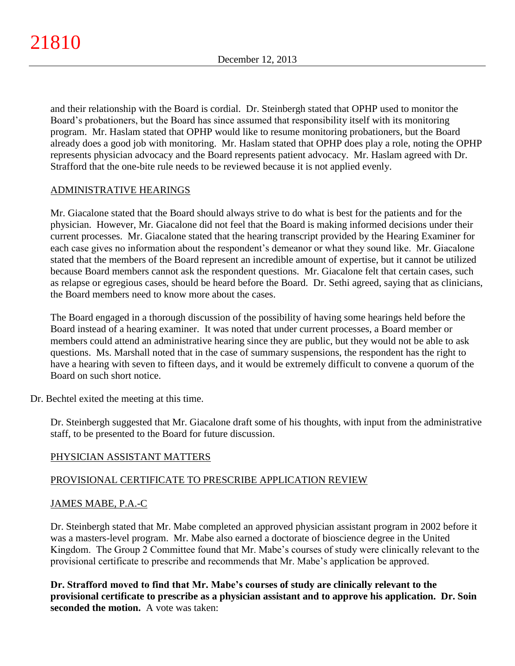and their relationship with the Board is cordial. Dr. Steinbergh stated that OPHP used to monitor the Board's probationers, but the Board has since assumed that responsibility itself with its monitoring program. Mr. Haslam stated that OPHP would like to resume monitoring probationers, but the Board already does a good job with monitoring. Mr. Haslam stated that OPHP does play a role, noting the OPHP represents physician advocacy and the Board represents patient advocacy. Mr. Haslam agreed with Dr. Strafford that the one-bite rule needs to be reviewed because it is not applied evenly.

# ADMINISTRATIVE HEARINGS

Mr. Giacalone stated that the Board should always strive to do what is best for the patients and for the physician. However, Mr. Giacalone did not feel that the Board is making informed decisions under their current processes. Mr. Giacalone stated that the hearing transcript provided by the Hearing Examiner for each case gives no information about the respondent's demeanor or what they sound like. Mr. Giacalone stated that the members of the Board represent an incredible amount of expertise, but it cannot be utilized because Board members cannot ask the respondent questions. Mr. Giacalone felt that certain cases, such as relapse or egregious cases, should be heard before the Board. Dr. Sethi agreed, saying that as clinicians, the Board members need to know more about the cases.

The Board engaged in a thorough discussion of the possibility of having some hearings held before the Board instead of a hearing examiner. It was noted that under current processes, a Board member or members could attend an administrative hearing since they are public, but they would not be able to ask questions. Ms. Marshall noted that in the case of summary suspensions, the respondent has the right to have a hearing with seven to fifteen days, and it would be extremely difficult to convene a quorum of the Board on such short notice.

Dr. Bechtel exited the meeting at this time.

Dr. Steinbergh suggested that Mr. Giacalone draft some of his thoughts, with input from the administrative staff, to be presented to the Board for future discussion.

# PHYSICIAN ASSISTANT MATTERS

# PROVISIONAL CERTIFICATE TO PRESCRIBE APPLICATION REVIEW

### JAMES MABE, P.A.-C

Dr. Steinbergh stated that Mr. Mabe completed an approved physician assistant program in 2002 before it was a masters-level program. Mr. Mabe also earned a doctorate of bioscience degree in the United Kingdom. The Group 2 Committee found that Mr. Mabe's courses of study were clinically relevant to the provisional certificate to prescribe and recommends that Mr. Mabe's application be approved.

**Dr. Strafford moved to find that Mr. Mabe's courses of study are clinically relevant to the provisional certificate to prescribe as a physician assistant and to approve his application. Dr. Soin seconded the motion.** A vote was taken: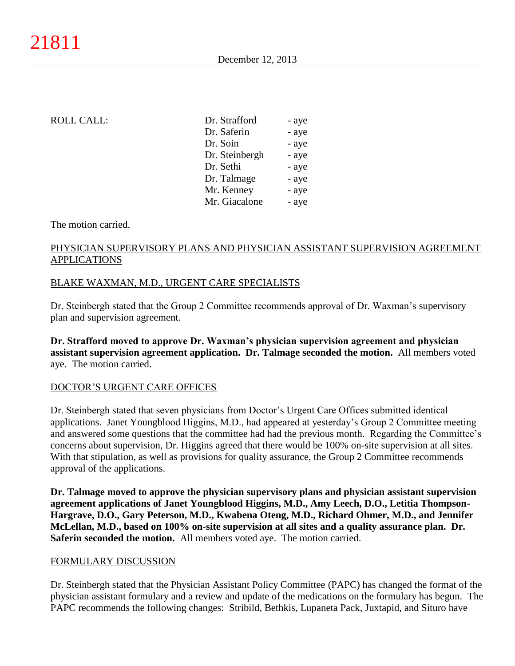### ROLL CALL:

| Dr. Strafford  | - aye |
|----------------|-------|
| Dr. Saferin    | - aye |
| Dr. Soin       | - aye |
| Dr. Steinbergh | - aye |
| Dr. Sethi      | - aye |
| Dr. Talmage    | - aye |
| Mr. Kenney     | - aye |
| Mr. Giacalone  | - aye |
|                |       |

#### The motion carried.

# PHYSICIAN SUPERVISORY PLANS AND PHYSICIAN ASSISTANT SUPERVISION AGREEMENT APPLICATIONS

### BLAKE WAXMAN, M.D., URGENT CARE SPECIALISTS

Dr. Steinbergh stated that the Group 2 Committee recommends approval of Dr. Waxman's supervisory plan and supervision agreement.

**Dr. Strafford moved to approve Dr. Waxman's physician supervision agreement and physician assistant supervision agreement application. Dr. Talmage seconded the motion.** All members voted aye. The motion carried.

### DOCTOR'S URGENT CARE OFFICES

Dr. Steinbergh stated that seven physicians from Doctor's Urgent Care Offices submitted identical applications. Janet Youngblood Higgins, M.D., had appeared at yesterday's Group 2 Committee meeting and answered some questions that the committee had had the previous month. Regarding the Committee's concerns about supervision, Dr. Higgins agreed that there would be 100% on-site supervision at all sites. With that stipulation, as well as provisions for quality assurance, the Group 2 Committee recommends approval of the applications.

**Dr. Talmage moved to approve the physician supervisory plans and physician assistant supervision agreement applications of Janet Youngblood Higgins, M.D., Amy Leech, D.O., Letitia Thompson-Hargrave, D.O., Gary Peterson, M.D., Kwabena Oteng, M.D., Richard Ohmer, M.D., and Jennifer McLellan, M.D., based on 100% on-site supervision at all sites and a quality assurance plan. Dr. Saferin seconded the motion.** All members voted aye. The motion carried.

### FORMULARY DISCUSSION

Dr. Steinbergh stated that the Physician Assistant Policy Committee (PAPC) has changed the format of the physician assistant formulary and a review and update of the medications on the formulary has begun. The PAPC recommends the following changes: Stribild, Bethkis, Lupaneta Pack, Juxtapid, and Situro have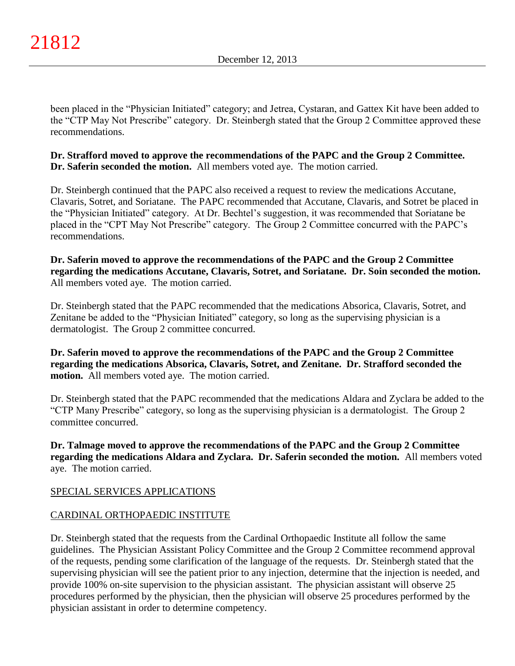been placed in the "Physician Initiated" category; and Jetrea, Cystaran, and Gattex Kit have been added to the "CTP May Not Prescribe" category. Dr. Steinbergh stated that the Group 2 Committee approved these recommendations.

### **Dr. Strafford moved to approve the recommendations of the PAPC and the Group 2 Committee. Dr. Saferin seconded the motion.** All members voted aye. The motion carried.

Dr. Steinbergh continued that the PAPC also received a request to review the medications Accutane, Clavaris, Sotret, and Soriatane. The PAPC recommended that Accutane, Clavaris, and Sotret be placed in the "Physician Initiated" category. At Dr. Bechtel's suggestion, it was recommended that Soriatane be placed in the "CPT May Not Prescribe" category. The Group 2 Committee concurred with the PAPC's recommendations.

**Dr. Saferin moved to approve the recommendations of the PAPC and the Group 2 Committee regarding the medications Accutane, Clavaris, Sotret, and Soriatane. Dr. Soin seconded the motion.** All members voted aye. The motion carried.

Dr. Steinbergh stated that the PAPC recommended that the medications Absorica, Clavaris, Sotret, and Zenitane be added to the "Physician Initiated" category, so long as the supervising physician is a dermatologist. The Group 2 committee concurred.

**Dr. Saferin moved to approve the recommendations of the PAPC and the Group 2 Committee regarding the medications Absorica, Clavaris, Sotret, and Zenitane. Dr. Strafford seconded the motion.** All members voted aye. The motion carried.

Dr. Steinbergh stated that the PAPC recommended that the medications Aldara and Zyclara be added to the "CTP Many Prescribe" category, so long as the supervising physician is a dermatologist. The Group 2 committee concurred.

**Dr. Talmage moved to approve the recommendations of the PAPC and the Group 2 Committee regarding the medications Aldara and Zyclara. Dr. Saferin seconded the motion.** All members voted aye. The motion carried.

# SPECIAL SERVICES APPLICATIONS

# CARDINAL ORTHOPAEDIC INSTITUTE

Dr. Steinbergh stated that the requests from the Cardinal Orthopaedic Institute all follow the same guidelines. The Physician Assistant Policy Committee and the Group 2 Committee recommend approval of the requests, pending some clarification of the language of the requests. Dr. Steinbergh stated that the supervising physician will see the patient prior to any injection, determine that the injection is needed, and provide 100% on-site supervision to the physician assistant. The physician assistant will observe 25 procedures performed by the physician, then the physician will observe 25 procedures performed by the physician assistant in order to determine competency.